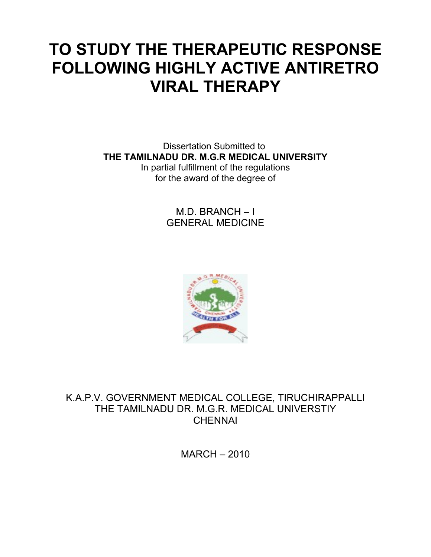# **TO STUDY THE THERAPEUTIC RESPONSE FOLLOWING HIGHLY ACTIVE ANTIRETRO VIRAL THERAPY**

Dissertation Submitted to **THE TAMILNADU DR. M.G.R MEDICAL UNIVERSITY** In partial fulfillment of the regulations for the award of the degree of

> M.D. BRANCH – I GENERAL MEDICINE



K.A.P.V. GOVERNMENT MEDICAL COLLEGE, TIRUCHIRAPPALLI THE TAMILNADU DR. M.G.R. MEDICAL UNIVERSTIY **CHENNAI** 

MARCH – 2010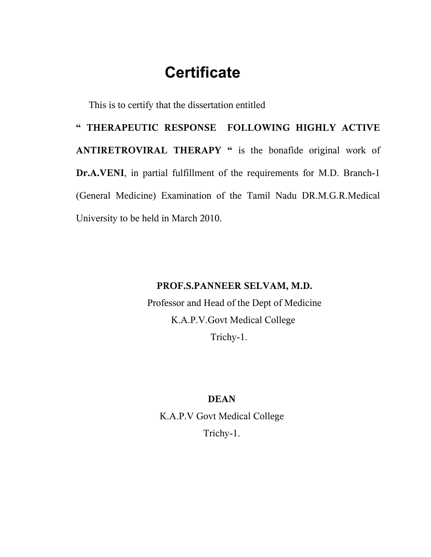## **Certificate**

This is to certify that the dissertation entitled

**" THERAPEUTIC RESPONSE FOLLOWING HIGHLY ACTIVE ANTIRETROVIRAL THERAPY "** is the bonafide original work of **Dr.A.VENI**, in partial fulfillment of the requirements for M.D. Branch-1 (General Medicine) Examination of the Tamil Nadu DR.M.G.R.Medical University to be held in March 2010.

## **PROF.S.PANNEER SELVAM, M.D.**

Professor and Head of the Dept of Medicine K.A.P.V.Govt Medical College Trichy-1.

### **DEAN**

K.A.P.V Govt Medical College Trichy-1.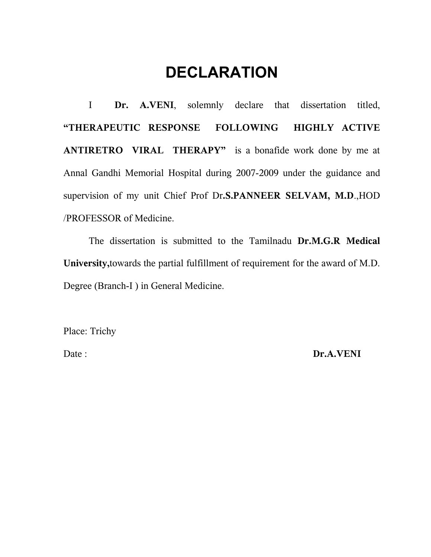## **DECLARATION**

I **Dr. A.VENI**, solemnly declare that dissertation titled, **"THERAPEUTIC RESPONSE FOLLOWING HIGHLY ACTIVE ANTIRETRO VIRAL THERAPY"** is a bonafide work done by me at Annal Gandhi Memorial Hospital during 2007-2009 under the guidance and supervision of my unit Chief Prof Dr**.S.PANNEER SELVAM, M.D**.,HOD /PROFESSOR of Medicine.

The dissertation is submitted to the Tamilnadu **Dr.M.G.R Medical University,**towards the partial fulfillment of requirement for the award of M.D. Degree (Branch-I ) in General Medicine.

Place: Trichy

Date : **Dr.A.VENI**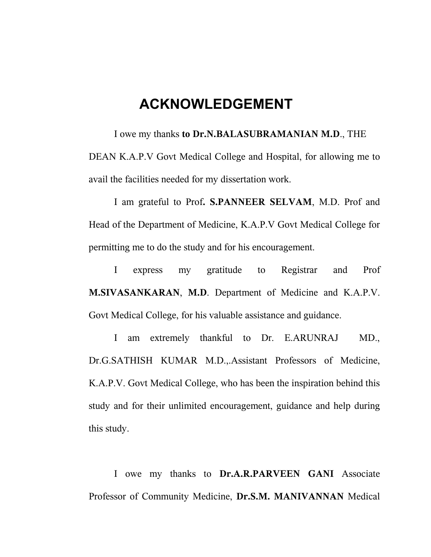## **ACKNOWLEDGEMENT**

I owe my thanks **to Dr.N.BALASUBRAMANIAN M.D**., THE DEAN K.A.P.V Govt Medical College and Hospital, for allowing me to avail the facilities needed for my dissertation work.

I am grateful to Prof**. S.PANNEER SELVAM**, M.D. Prof and Head of the Department of Medicine, K.A.P.V Govt Medical College for permitting me to do the study and for his encouragement.

I express my gratitude to Registrar and Prof **M.SIVASANKARAN**, **M.D**. Department of Medicine and K.A.P.V. Govt Medical College, for his valuable assistance and guidance.

I am extremely thankful to Dr. E.ARUNRAJ MD., Dr.G.SATHISH KUMAR M.D.,.Assistant Professors of Medicine, K.A.P.V. Govt Medical College, who has been the inspiration behind this study and for their unlimited encouragement, guidance and help during this study.

I owe my thanks to **Dr.A.R.PARVEEN GANI** Associate Professor of Community Medicine, **Dr.S.M. MANIVANNAN** Medical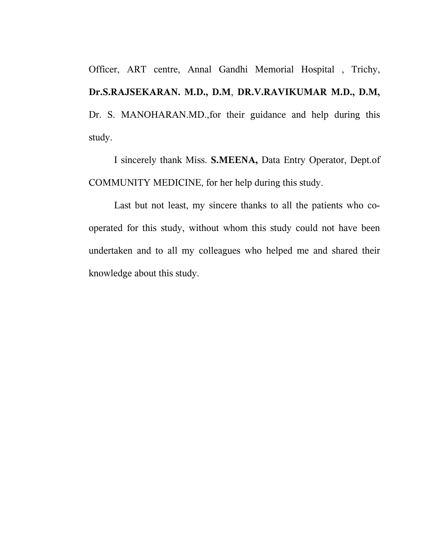Officer, ART centre, Annal Gandhi Memorial Hospital , Trichy, **Dr.S.RAJSEKARAN. M.D., D.M**, **DR.V.RAVIKUMAR M.D., D.M,** Dr. S. MANOHARAN.MD.,for their guidance and help during this study.

I sincerely thank Miss. **S.MEENA,** Data Entry Operator, Dept.of COMMUNITY MEDICINE, for her help during this study.

Last but not least, my sincere thanks to all the patients who cooperated for this study, without whom this study could not have been undertaken and to all my colleagues who helped me and shared their knowledge about this study.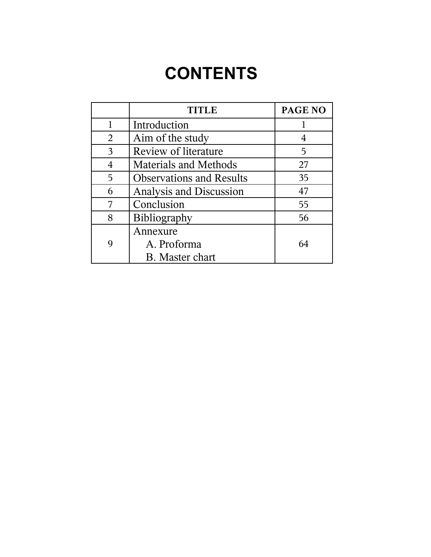# **CONTENTS**

|   | <b>TITLE</b>                    | <b>PAGE NO</b> |
|---|---------------------------------|----------------|
|   | Introduction                    |                |
| 2 | Aim of the study                | 4              |
| 3 | <b>Review of literature</b>     | 5              |
| 4 | <b>Materials and Methods</b>    | 27             |
| 5 | <b>Observations and Results</b> | 35             |
| 6 | Analysis and Discussion         | 47             |
| 7 | Conclusion                      | 55             |
| 8 | Bibliography                    | 56             |
|   | Annexure                        |                |
| 9 | A. Proforma                     | 64             |
|   | <b>B.</b> Master chart          |                |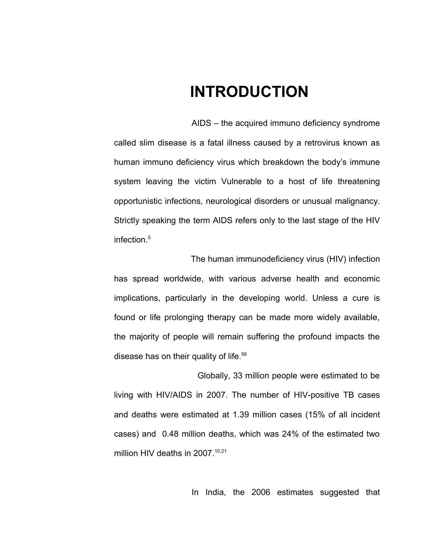## **INTRODUCTION**

AIDS – the acquired immuno deficiency syndrome called slim disease is a fatal illness caused by a retrovirus known as human immuno deficiency virus which breakdown the body's immune system leaving the victim Vulnerable to a host of life threatening opportunistic infections, neurological disorders or unusual malignancy. Strictly speaking the term AIDS refers only to the last stage of the HIV infection.<sup>5</sup>

 The human immunodeficiency virus (HIV) infection has spread worldwide, with various adverse health and economic implications, particularly in the developing world. Unless a cure is found or life prolonging therapy can be made more widely available, the majority of people will remain suffering the profound impacts the disease has on their quality of life.<sup>56</sup>

 Globally, 33 million people were estimated to be living with HIV/AIDS in 2007. The number of HIV-positive TB cases and deaths were estimated at 1.39 million cases (15% of all incident cases) and 0.48 million deaths, which was 24% of the estimated two million HIV deaths in 2007.<sup>10,21</sup>

In India, the 2006 estimates suggested that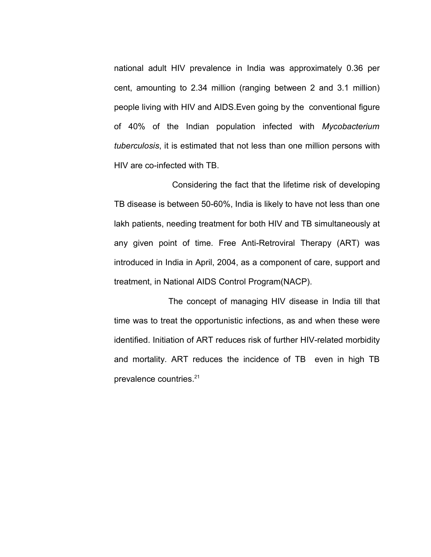national adult HIV prevalence in India was approximately 0.36 per cent, amounting to 2.34 million (ranging between 2 and 3.1 million) people living with HIV and AIDS.Even going by the conventional figure of 40% of the Indian population infected with *Mycobacterium tuberculosis*, it is estimated that not less than one million persons with HIV are co-infected with TB.

 Considering the fact that the lifetime risk of developing TB disease is between 50-60%, India is likely to have not less than one lakh patients, needing treatment for both HIV and TB simultaneously at any given point of time. Free Anti-Retroviral Therapy (ART) was introduced in India in April, 2004, as a component of care, support and treatment, in National AIDS Control Program(NACP).

 The concept of managing HIV disease in India till that time was to treat the opportunistic infections, as and when these were identified. Initiation of ART reduces risk of further HIV-related morbidity and mortality. ART reduces the incidence of TB even in high TB prevalence countries.21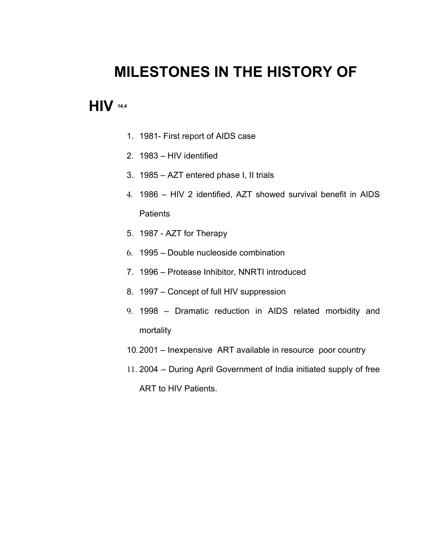## **MILESTONES IN THE HISTORY OF**

## **HIV 14,4**

- 1. 1981- First report of AIDS case
- 2. 1983 HIV identified
- 3. 1985 AZT entered phase I, II trials
- 4. 1986 HIV 2 identified, AZT showed survival benefit in AIDS **Patients**
- 5. 1987 AZT for Therapy
- 6. 1995 Double nucleoside combination
- 7. 1996 Protease Inhibitor, NNRTI introduced
- 8. 1997 Concept of full HIV suppression
- 9. 1998 Dramatic reduction in AIDS related morbidity and mortality
- 10.2001 Inexpensive ART available in resource poor country
- 11. 2004 During April Government of India initiated supply of free ART to HIV Patients.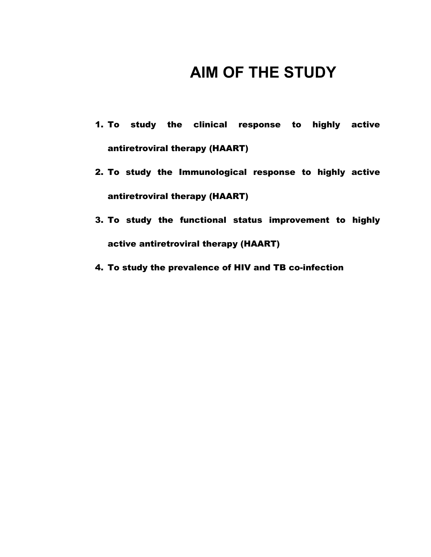## **AIM OF THE STUDY**

- 1. To study the clinical response to highly active antiretroviral therapy (HAART)
- 2. To study the Immunological response to highly active antiretroviral therapy (HAART)
- 3. To study the functional status improvement to highly active antiretroviral therapy (HAART)
- 4. To study the prevalence of HIV and TB co-infection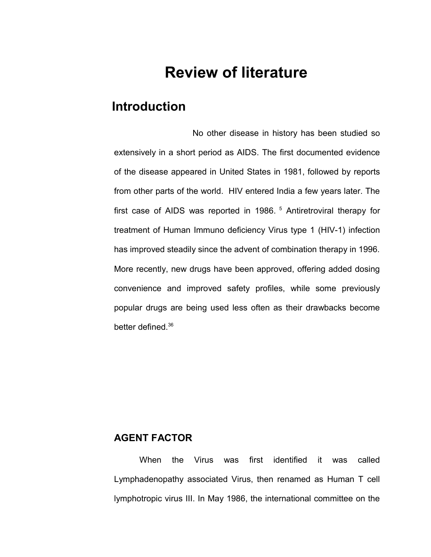## **Review of literature**

## **Introduction**

 No other disease in history has been studied so extensively in a short period as AIDS. The first documented evidence of the disease appeared in United States in 1981, followed by reports from other parts of the world. HIV entered India a few years later. The first case of AIDS was reported in 1986.<sup>5</sup> Antiretroviral therapy for treatment of Human Immuno deficiency Virus type 1 (HIV-1) infection has improved steadily since the advent of combination therapy in 1996. More recently, new drugs have been approved, offering added dosing convenience and improved safety profiles, while some previously popular drugs are being used less often as their drawbacks become better defined.<sup>36</sup>

## **AGENT FACTOR**

When the Virus was first identified it was called Lymphadenopathy associated Virus, then renamed as Human T cell lymphotropic virus III. In May 1986, the international committee on the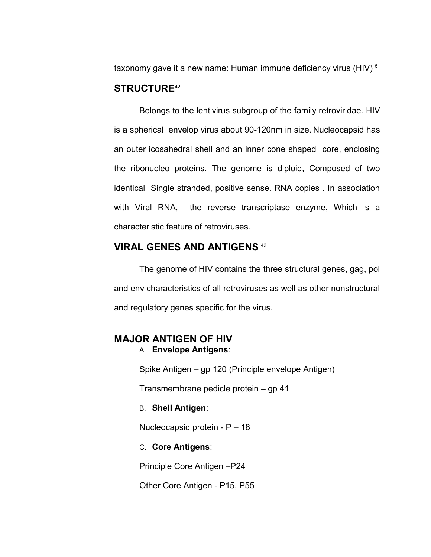taxonomy gave it a new name: Human immune deficiency virus (HIV)<sup>5</sup>

### **STRUCTURE**<sup>42</sup>

Belongs to the lentivirus subgroup of the family retroviridae. HIV is a spherical envelop virus about 90-120nm in size. Nucleocapsid has an outer icosahedral shell and an inner cone shaped core, enclosing the ribonucleo proteins. The genome is diploid, Composed of two identical Single stranded, positive sense. RNA copies . In association with Viral RNA, the reverse transcriptase enzyme, Which is a characteristic feature of retroviruses.

### **VIRAL GENES AND ANTIGENS** <sup>42</sup>

The genome of HIV contains the three structural genes, gag, pol and env characteristics of all retroviruses as well as other nonstructural and regulatory genes specific for the virus.

### **MAJOR ANTIGEN OF HIV** A. **Envelope Antigens**:

Spike Antigen – gp 120 (Principle envelope Antigen)

Transmembrane pedicle protein – gp 41

### B. **Shell Antigen**:

Nucleocapsid protein - P – 18

### C. **Core Antigens**:

Principle Core Antigen –P24

Other Core Antigen - P15, P55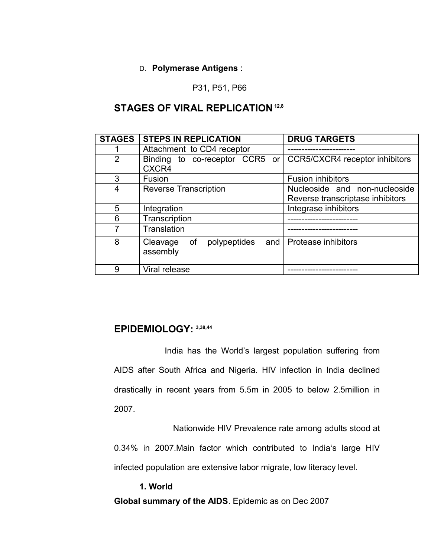### D. **Polymerase Antigens** :

P31, P51, P66

## **STAGES OF VIRAL REPLICATION 12,8**

| <b>STAGES</b>  | <b>STEPS IN REPLICATION</b>                            | <b>DRUG TARGETS</b>                                               |
|----------------|--------------------------------------------------------|-------------------------------------------------------------------|
|                | Attachment to CD4 receptor                             |                                                                   |
| $\overline{2}$ | to co-receptor CCR5 or<br><b>Binding</b><br>CXCR4      | CCR5/CXCR4 receptor inhibitors                                    |
| 3              | Fusion                                                 | <b>Fusion inhibitors</b>                                          |
| 4              | <b>Reverse Transcription</b>                           | Nucleoside and non-nucleoside<br>Reverse transcriptase inhibitors |
| 5              | Integration                                            | Integrase inhibitors                                              |
| 6              | Transcription                                          |                                                                   |
| 7              | Translation                                            |                                                                   |
| 8              | polypeptides and $\vert$<br>of<br>Cleavage<br>assembly | <b>Protease inhibitors</b>                                        |
| 9              | Viral release                                          |                                                                   |

## **EPIDEMIOLOGY: 3,38,44**

India has the World's largest population suffering from AIDS after South Africa and Nigeria. HIV infection in India declined drastically in recent years from 5.5m in 2005 to below 2.5million in 2007.

Nationwide HIV Prevalence rate among adults stood at

0.34% in 2007.Main factor which contributed to India's large HIV infected population are extensive labor migrate, low literacy level.

**1. World Global summary of the AIDS**. Epidemic as on Dec 2007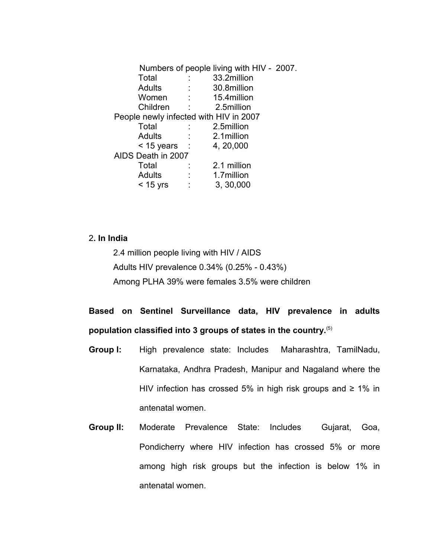Numbers of people living with HIV - 2007. Total : 33.2million Adults : 30.8million Women : 15.4million Children : 2.5million People newly infected with HIV in 2007 Total : 2.5million Adults : 2.1million  $< 15$  years : 4, 20,000 AIDS Death in 2007 Total : 2.1 million Adults : 1.7million < 15 yrs : 3, 30,000

### 2**. In India**

2.4 million people living with HIV / AIDS Adults HIV prevalence 0.34% (0.25% - 0.43%) Among PLHA 39% were females 3.5% were children

## **Based on Sentinel Surveillance data, HIV prevalence in adults population classified into 3 groups of states in the country.**(5)

- **Group I:** High prevalence state: Includes Maharashtra, TamilNadu, Karnataka, Andhra Pradesh, Manipur and Nagaland where the HIV infection has crossed 5% in high risk groups and  $\geq 1\%$  in antenatal women.
- **Group II:** Moderate Prevalence State: Includes Gujarat, Goa, Pondicherry where HIV infection has crossed 5% or more among high risk groups but the infection is below 1% in antenatal women.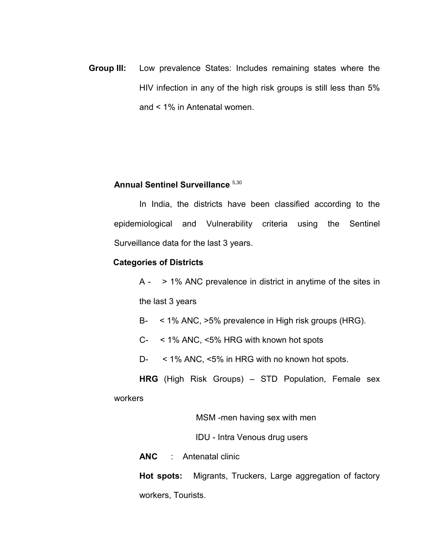**Group III:** Low prevalence States: Includes remaining states where the HIV infection in any of the high risk groups is still less than 5% and < 1% in Antenatal women.

### **Annual Sentinel Surveillance** 5,30

In India, the districts have been classified according to the epidemiological and Vulnerability criteria using the Sentinel Surveillance data for the last 3 years.

#### **Categories of Districts**

 $A - \rightarrow 1\%$  ANC prevalence in district in anytime of the sites in the last 3 years

B- < 1% ANC, >5% prevalence in High risk groups (HRG).

C- < 1% ANC, <5% HRG with known hot spots

D- < 1% ANC, <5% in HRG with no known hot spots.

**HRG** (High Risk Groups) – STD Population, Female sex

workers

MSM -men having sex with men

IDU - Intra Venous drug users

**ANC** : Antenatal clinic

**Hot spots:** Migrants, Truckers, Large aggregation of factory workers, Tourists.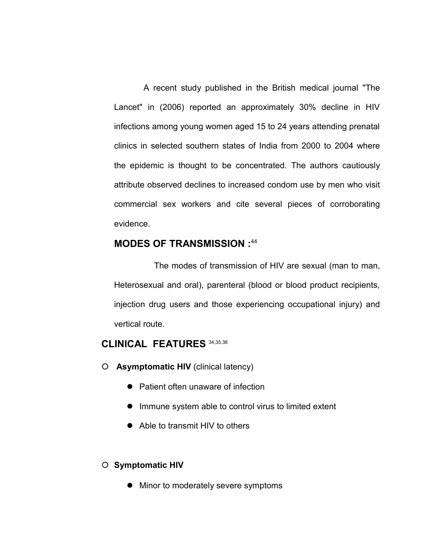A recent study published in the British medical journal "The Lancet" in (2006) reported an approximately 30% decline in HIV infections among young women aged 15 to 24 years attending prenatal clinics in selected southern states of India from 2000 to 2004 where the epidemic is thought to be concentrated. The authors cautiously attribute observed declines to increased condom use by men who visit commercial sex workers and cite several pieces of corroborating evidence.

### **MODES OF TRANSMISSION :**<sup>44</sup>

The modes of transmission of HIV are sexual (man to man, Heterosexual and oral), parenteral (blood or blood product recipients, injection drug users and those experiencing occupational injury) and vertical route.

### **CLINICAL FEATURES** 34,35,38

**Asymptomatic HIV** (clinical latency)

- Patient often unaware of infection
- Immune system able to control virus to limited extent
- Able to transmit HIV to others

### **Symptomatic HIV**

• Minor to moderately severe symptoms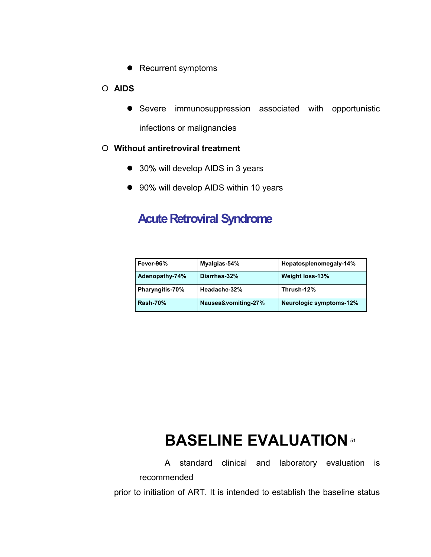• Recurrent symptoms

### **AIDS**

 Severe immunosuppression associated with opportunistic infections or malignancies

### **Without antiretroviral treatment**

- 30% will develop AIDS in 3 years
- 90% will develop AIDS within 10 years

## **Acute Retroviral Syndrome**

| Fever-96%       | Myalgias-54%        | Hepatosplenomegaly-14%         |  |
|-----------------|---------------------|--------------------------------|--|
| Adenopathy-74%  | Diarrhea-32%        | Weight loss-13%                |  |
| Pharyngitis-70% | Headache-32%        | Thrush-12%                     |  |
| <b>Rash-70%</b> | Nausea&vomiting-27% | <b>Neurologic symptoms-12%</b> |  |

# **BASELINE EVALUATION** 51

A standard clinical and laboratory evaluation is recommended

prior to initiation of ART. It is intended to establish the baseline status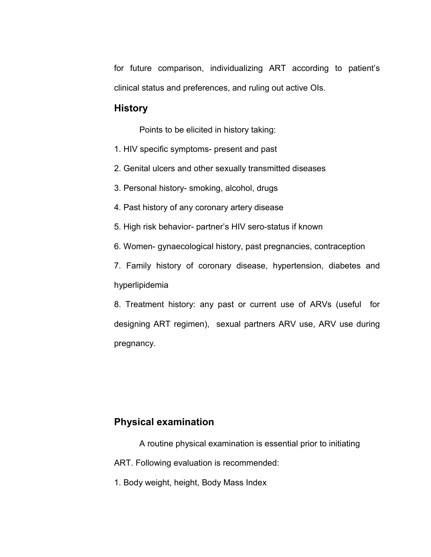for future comparison, individualizing ART according to patient's clinical status and preferences, and ruling out active OIs.

### **History**

Points to be elicited in history taking:

- 1. HIV specific symptoms- present and past
- 2. Genital ulcers and other sexually transmitted diseases
- 3. Personal history- smoking, alcohol, drugs
- 4. Past history of any coronary artery disease
- 5. High risk behavior- partner's HIV sero-status if known
- 6. Women- gynaecological history, past pregnancies, contraception
- 7. Family history of coronary disease, hypertension, diabetes and hyperlipidemia

8. Treatment history: any past or current use of ARVs (useful for designing ART regimen), sexual partners ARV use, ARV use during pregnancy.

### **Physical examination**

- A routine physical examination is essential prior to initiating ART. Following evaluation is recommended:
- 1. Body weight, height, Body Mass Index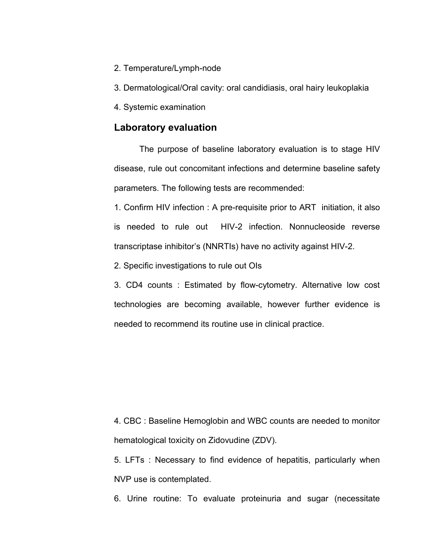- 2. Temperature/Lymph-node
- 3. Dermatological/Oral cavity: oral candidiasis, oral hairy leukoplakia
- 4. Systemic examination

### **Laboratory evaluation**

The purpose of baseline laboratory evaluation is to stage HIV disease, rule out concomitant infections and determine baseline safety parameters. The following tests are recommended:

1. Confirm HIV infection : A pre-requisite prior to ART initiation, it also is needed to rule out HIV-2 infection. Nonnucleoside reverse transcriptase inhibitor's (NNRTIs) have no activity against HIV-2.

2. Specific investigations to rule out OIs

3. CD4 counts : Estimated by flow-cytometry. Alternative low cost technologies are becoming available, however further evidence is needed to recommend its routine use in clinical practice.

4. CBC : Baseline Hemoglobin and WBC counts are needed to monitor hematological toxicity on Zidovudine (ZDV).

5. LFTs : Necessary to find evidence of hepatitis, particularly when NVP use is contemplated.

6. Urine routine: To evaluate proteinuria and sugar (necessitate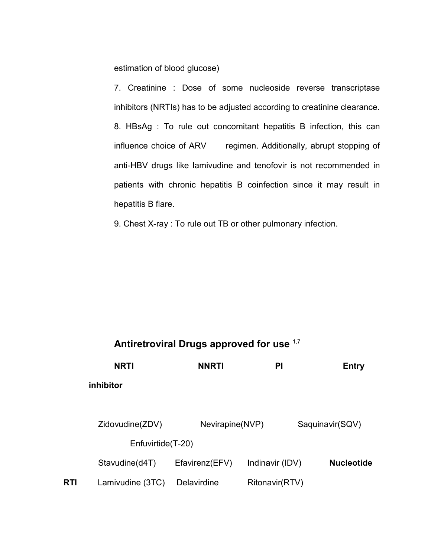estimation of blood glucose)

7. Creatinine : Dose of some nucleoside reverse transcriptase inhibitors (NRTIs) has to be adjusted according to creatinine clearance. 8. HBsAg : To rule out concomitant hepatitis B infection, this can influence choice of ARV regimen. Additionally, abrupt stopping of anti-HBV drugs like lamivudine and tenofovir is not recommended in patients with chronic hepatitis B coinfection since it may result in hepatitis B flare.

9. Chest X-ray : To rule out TB or other pulmonary infection.

## **Antiretroviral Drugs approved for use** 1,7

|     | <b>NRTI</b>                          | <b>NNRTI</b>       | PI              | <b>Entry</b>      |
|-----|--------------------------------------|--------------------|-----------------|-------------------|
|     | inhibitor                            |                    |                 |                   |
|     |                                      |                    |                 |                   |
|     | Zidovudine(ZDV)<br>Enfuvirtide(T-20) | Nevirapine(NVP)    |                 | Saquinavir(SQV)   |
|     | Stavudine(d4T)                       | Efavirenz(EFV)     | Indinavir (IDV) | <b>Nucleotide</b> |
| RTI | Lamivudine (3TC)                     | <b>Delavirdine</b> | Ritonavir(RTV)  |                   |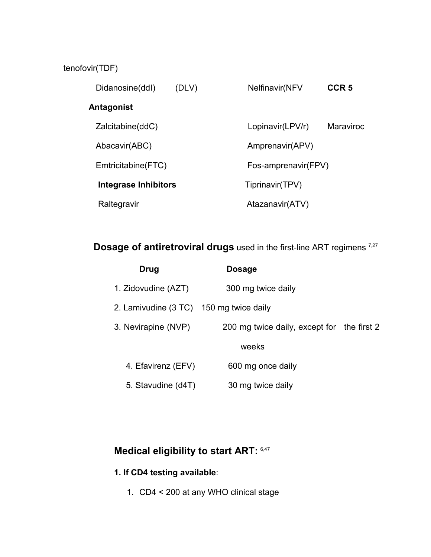## tenofovir(TDF)

| Didanosine(ddl)      | (DLV) | Nelfinavir(NFV      | CCR <sub>5</sub> |
|----------------------|-------|---------------------|------------------|
| Antagonist           |       |                     |                  |
| Zalcitabine(ddC)     |       | Lopinavir(LPV/r)    | <b>Maraviroc</b> |
| Abacavir(ABC)        |       | Amprenavir(APV)     |                  |
| Emtricitabine(FTC)   |       | Fos-amprenavir(FPV) |                  |
| Integrase Inhibitors |       | Tiprinavir(TPV)     |                  |
| Raltegravir          |       | Atazanavir(ATV)     |                  |

## **Dosage of antiretroviral drugs** used in the first-line ART regimens<sup>7,27</sup>

| Drug                                    | <b>Dosage</b>                              |  |
|-----------------------------------------|--------------------------------------------|--|
| 1. Zidovudine (AZT)                     | 300 mg twice daily                         |  |
| 2. Lamivudine (3 TC) 150 mg twice daily |                                            |  |
| 3. Nevirapine (NVP)                     | 200 mg twice daily, except for the first 2 |  |
|                                         | weeks                                      |  |
| 4. Efavirenz (EFV)                      | 600 mg once daily                          |  |
| 5. Stavudine (d4T)                      | 30 mg twice daily                          |  |

## **Medical eligibility to start ART:** 6,47

## **1. If CD4 testing available**:

1. CD4 < 200 at any WHO clinical stage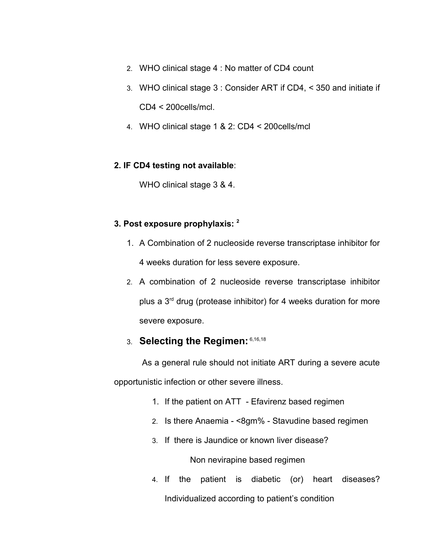- 2. WHO clinical stage 4 : No matter of CD4 count
- 3. WHO clinical stage 3 : Consider ART if CD4, < 350 and initiate if CD4 < 200cells/mcl.
- 4. WHO clinical stage 1 & 2: CD4 < 200cells/mcl

### **2. IF CD4 testing not available**:

WHO clinical stage 3 & 4.

### **3. Post exposure prophylaxis: <sup>2</sup>**

- 1. A Combination of 2 nucleoside reverse transcriptase inhibitor for 4 weeks duration for less severe exposure.
- 2. A combination of 2 nucleoside reverse transcriptase inhibitor plus a 3<sup>rd</sup> drug (protease inhibitor) for 4 weeks duration for more severe exposure.

## 3. **Selecting the Regimen:** 6,16,18

 As a general rule should not initiate ART during a severe acute opportunistic infection or other severe illness.

- 1. If the patient on ATT Efavirenz based regimen
- 2. Is there Anaemia <8gm% Stavudine based regimen
- 3. If there is Jaundice or known liver disease?

Non nevirapine based regimen

4. If the patient is diabetic (or) heart diseases? Individualized according to patient's condition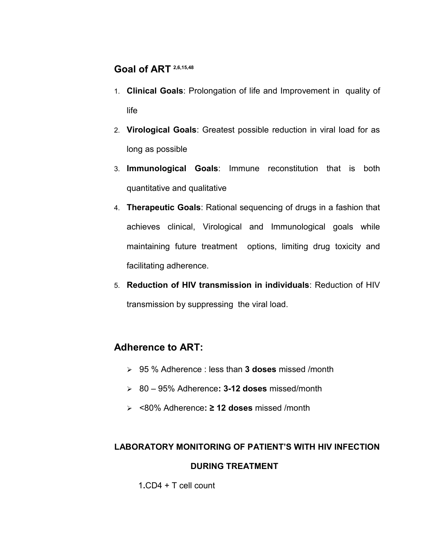## **Goal of ART 2,6,15,48**

- 1. **Clinical Goals**: Prolongation of life and Improvement in quality of life
- 2. **Virological Goals**: Greatest possible reduction in viral load for as long as possible
- 3. **Immunological Goals**: Immune reconstitution that is both quantitative and qualitative
- 4. **Therapeutic Goals**: Rational sequencing of drugs in a fashion that achieves clinical, Virological and Immunological goals while maintaining future treatment options, limiting drug toxicity and facilitating adherence.
- 5. **Reduction of HIV transmission in individuals**: Reduction of HIV transmission by suppressing the viral load.

## **Adherence to ART:**

- 95 % Adherence : less than **3 doses** missed /month
- 80 95% Adherence**: 3-12 doses** missed/month
- <80% Adherence**: ≥ 12 doses** missed /month

## **LABORATORY MONITORING OF PATIENT'S WITH HIV INFECTION DURING TREATMENT**

1**.**CD4 + T cell count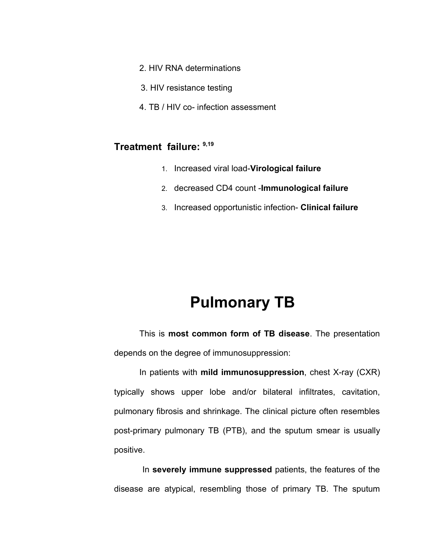- 2. HIV RNA determinations
- 3. HIV resistance testing
- 4. TB / HIV co- infection assessment

### **Treatment failure: 9,19**

- 1. Increased viral load-**Virological failure**
- 2. decreased CD4 count -**Immunological failure**
- 3. Increased opportunistic infection- **Clinical failure**

## **Pulmonary TB**

This is **most common form of TB disease**. The presentation depends on the degree of immunosuppression:

In patients with **mild immunosuppression**, chest X-ray (CXR) typically shows upper lobe and/or bilateral infiltrates, cavitation, pulmonary fibrosis and shrinkage. The clinical picture often resembles post-primary pulmonary TB (PTB), and the sputum smear is usually positive.

 In **severely immune suppressed** patients, the features of the disease are atypical, resembling those of primary TB. The sputum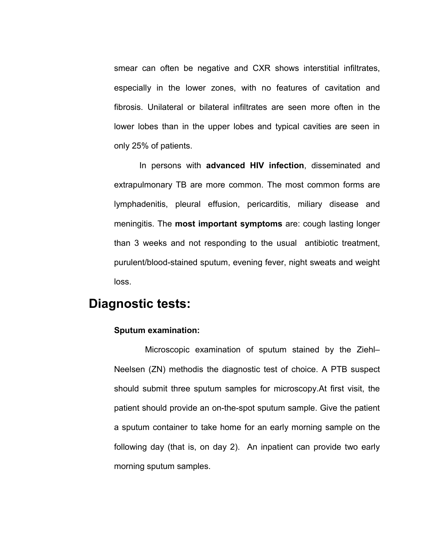smear can often be negative and CXR shows interstitial infiltrates, especially in the lower zones, with no features of cavitation and fibrosis. Unilateral or bilateral infiltrates are seen more often in the lower lobes than in the upper lobes and typical cavities are seen in only 25% of patients.

In persons with **advanced HIV infection**, disseminated and extrapulmonary TB are more common. The most common forms are lymphadenitis, pleural effusion, pericarditis, miliary disease and meningitis. The **most important symptoms** are: cough lasting longer than 3 weeks and not responding to the usual antibiotic treatment, purulent/blood-stained sputum, evening fever, night sweats and weight loss.

## **Diagnostic tests:**

### **Sputum examination:**

 Microscopic examination of sputum stained by the Ziehl– Neelsen (ZN) methodis the diagnostic test of choice. A PTB suspect should submit three sputum samples for microscopy.At first visit, the patient should provide an on-the-spot sputum sample. Give the patient a sputum container to take home for an early morning sample on the following day (that is, on day 2). An inpatient can provide two early morning sputum samples.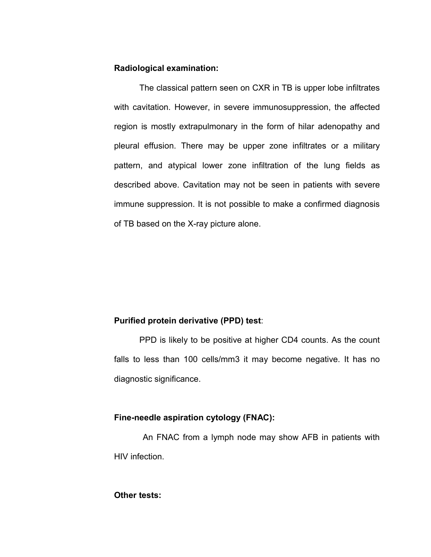#### **Radiological examination:**

The classical pattern seen on CXR in TB is upper lobe infiltrates with cavitation. However, in severe immunosuppression, the affected region is mostly extrapulmonary in the form of hilar adenopathy and pleural effusion. There may be upper zone infiltrates or a military pattern, and atypical lower zone infiltration of the lung fields as described above. Cavitation may not be seen in patients with severe immune suppression. It is not possible to make a confirmed diagnosis of TB based on the X-ray picture alone.

#### **Purified protein derivative (PPD) test**:

PPD is likely to be positive at higher CD4 counts. As the count falls to less than 100 cells/mm3 it may become negative. It has no diagnostic significance.

### **Fine-needle aspiration cytology (FNAC):**

 An FNAC from a lymph node may show AFB in patients with HIV infection.

### **Other tests:**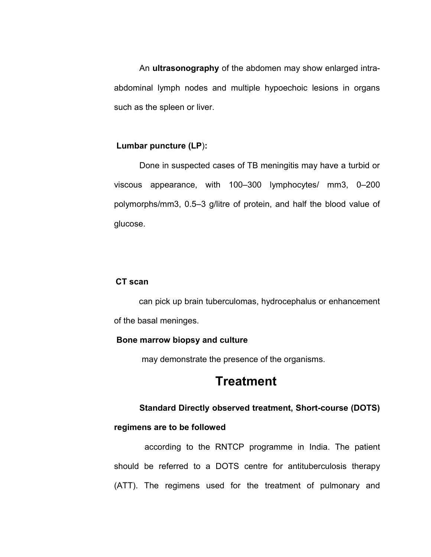An **ultrasonography** of the abdomen may show enlarged intraabdominal lymph nodes and multiple hypoechoic lesions in organs such as the spleen or liver.

#### **Lumbar puncture (LP**)**:**

Done in suspected cases of TB meningitis may have a turbid or viscous appearance, with 100–300 lymphocytes/ mm3, 0–200 polymorphs/mm3, 0.5–3 g/litre of protein, and half the blood value of glucose.

#### **CT scan**

can pick up brain tuberculomas, hydrocephalus or enhancement of the basal meninges.

#### **Bone marrow biopsy and culture**

may demonstrate the presence of the organisms.

## **Treatment**

### **Standard Directly observed treatment, Short-course (DOTS)**

#### **regimens are to be followed**

according to the RNTCP programme in India. The patient should be referred to a DOTS centre for antituberculosis therapy (ATT). The regimens used for the treatment of pulmonary and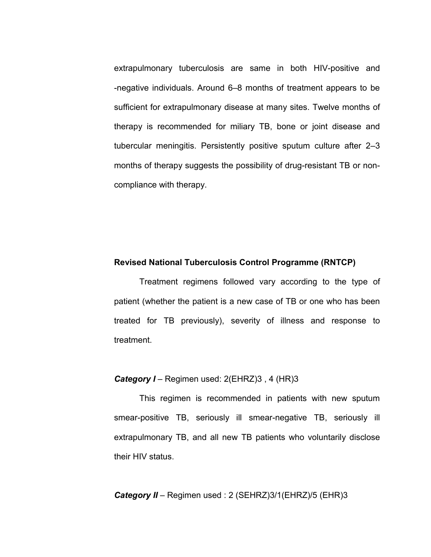extrapulmonary tuberculosis are same in both HIV-positive and -negative individuals. Around 6–8 months of treatment appears to be sufficient for extrapulmonary disease at many sites. Twelve months of therapy is recommended for miliary TB, bone or joint disease and tubercular meningitis. Persistently positive sputum culture after 2–3 months of therapy suggests the possibility of drug-resistant TB or noncompliance with therapy.

#### **Revised National Tuberculosis Control Programme (RNTCP)**

Treatment regimens followed vary according to the type of patient (whether the patient is a new case of TB or one who has been treated for TB previously), severity of illness and response to treatment.

### **Category I** – Regimen used: 2(EHRZ)3, 4 (HR)3

This regimen is recommended in patients with new sputum smear-positive TB, seriously ill smear-negative TB, seriously ill extrapulmonary TB, and all new TB patients who voluntarily disclose their HIV status.

#### *Category II* – Regimen used : 2 (SEHRZ)3/1(EHRZ)/5 (EHR)3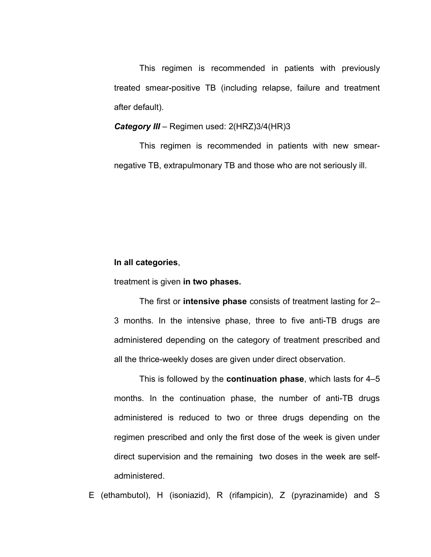This regimen is recommended in patients with previously treated smear-positive TB (including relapse, failure and treatment after default).

#### *Category III* – Regimen used: 2(HRZ)3/4(HR)3

This regimen is recommended in patients with new smearnegative TB, extrapulmonary TB and those who are not seriously ill.

#### **In all categories**,

treatment is given **in two phases.**

The first or **intensive phase** consists of treatment lasting for 2– 3 months. In the intensive phase, three to five anti-TB drugs are administered depending on the category of treatment prescribed and all the thrice-weekly doses are given under direct observation.

This is followed by the **continuation phase**, which lasts for 4–5 months. In the continuation phase, the number of anti-TB drugs administered is reduced to two or three drugs depending on the regimen prescribed and only the first dose of the week is given under direct supervision and the remaining two doses in the week are selfadministered.

E (ethambutol), H (isoniazid), R (rifampicin), Z (pyrazinamide) and S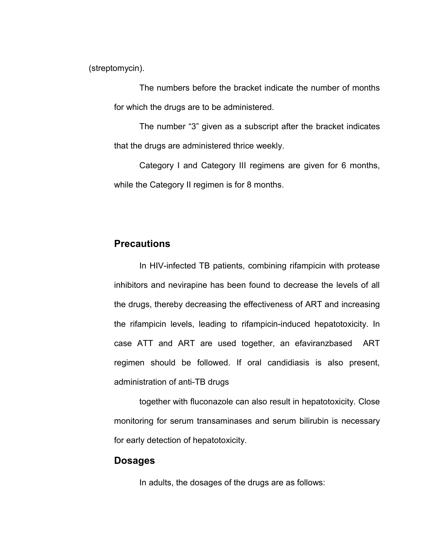(streptomycin).

The numbers before the bracket indicate the number of months for which the drugs are to be administered.

The number "3" given as a subscript after the bracket indicates that the drugs are administered thrice weekly.

Category I and Category III regimens are given for 6 months, while the Category II regimen is for 8 months.

## **Precautions**

In HIV-infected TB patients, combining rifampicin with protease inhibitors and nevirapine has been found to decrease the levels of all the drugs, thereby decreasing the effectiveness of ART and increasing the rifampicin levels, leading to rifampicin-induced hepatotoxicity. In case ATT and ART are used together, an efaviranzbased ART regimen should be followed. If oral candidiasis is also present, administration of anti-TB drugs

together with fluconazole can also result in hepatotoxicity. Close monitoring for serum transaminases and serum bilirubin is necessary for early detection of hepatotoxicity.

#### **Dosages**

In adults, the dosages of the drugs are as follows: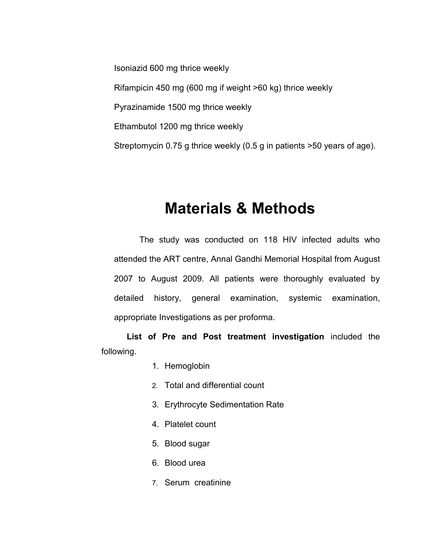Isoniazid 600 mg thrice weekly Rifampicin 450 mg (600 mg if weight >60 kg) thrice weekly Pyrazinamide 1500 mg thrice weekly Ethambutol 1200 mg thrice weekly Streptomycin 0.75 g thrice weekly (0.5 g in patients >50 years of age).

## **Materials & Methods**

The study was conducted on 118 HIV infected adults who attended the ART centre, Annal Gandhi Memorial Hospital from August 2007 to August 2009. All patients were thoroughly evaluated by detailed history, general examination, systemic examination, appropriate Investigations as per proforma.

**List of Pre and Post treatment investigation** included the following.

- 1. Hemoglobin
- 2. Total and differential count
- 3. Erythrocyte Sedimentation Rate
- 4. Platelet count
- 5. Blood sugar
- 6. Blood urea
- 7. Serum creatinine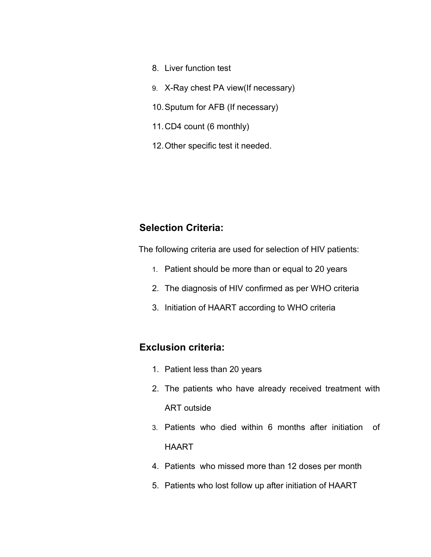- 8. Liver function test
- 9. X-Ray chest PA view(If necessary)
- 10.Sputum for AFB (If necessary)
- 11.CD4 count (6 monthly)
- 12.Other specific test it needed.

## **Selection Criteria:**

The following criteria are used for selection of HIV patients:

- 1. Patient should be more than or equal to 20 years
- 2. The diagnosis of HIV confirmed as per WHO criteria
- 3. Initiation of HAART according to WHO criteria

## **Exclusion criteria:**

- 1. Patient less than 20 years
- 2. The patients who have already received treatment with ART outside
- 3. Patients who died within 6 months after initiation of HAART
- 4. Patients who missed more than 12 doses per month
- 5. Patients who lost follow up after initiation of HAART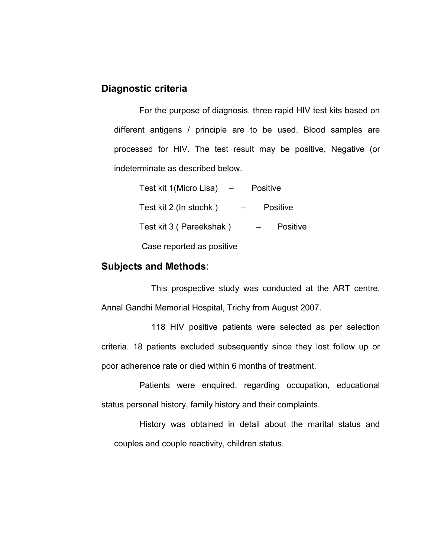## **Diagnostic criteria**

For the purpose of diagnosis, three rapid HIV test kits based on different antigens / principle are to be used. Blood samples are processed for HIV. The test result may be positive, Negative (or indeterminate as described below.

| Test kit 1 (Micro Lisa)   | <b>Positive</b> |                 |
|---------------------------|-----------------|-----------------|
| Test kit 2 (In stochk)    |                 | <b>Positive</b> |
| Test kit 3 (Pareekshak)   |                 | Positive        |
| Case reported as positive |                 |                 |

## **Subjects and Methods**:

This prospective study was conducted at the ART centre, Annal Gandhi Memorial Hospital, Trichy from August 2007.

118 HIV positive patients were selected as per selection criteria. 18 patients excluded subsequently since they lost follow up or poor adherence rate or died within 6 months of treatment.

Patients were enquired, regarding occupation, educational status personal history, family history and their complaints.

History was obtained in detail about the marital status and couples and couple reactivity, children status.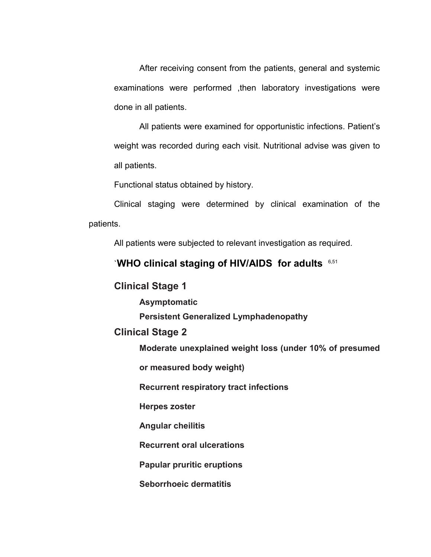After receiving consent from the patients, general and systemic examinations were performed ,then laboratory investigations were done in all patients.

All patients were examined for opportunistic infections. Patient's weight was recorded during each visit. Nutritional advise was given to all patients.

Functional status obtained by history.

Clinical staging were determined by clinical examination of the patients.

All patients were subjected to relevant investigation as required.

## `**WHO clinical staging of HIV/AIDS for adults** 6,51

## **Clinical Stage 1**

**Asymptomatic**

**Persistent Generalized Lymphadenopathy**

### **Clinical Stage 2**

**Moderate unexplained weight loss (under 10% of presumed**

**or measured body weight)**

**Recurrent respiratory tract infections**

**Herpes zoster**

**Angular cheilitis**

**Recurrent oral ulcerations**

**Papular pruritic eruptions**

**Seborrhoeic dermatitis**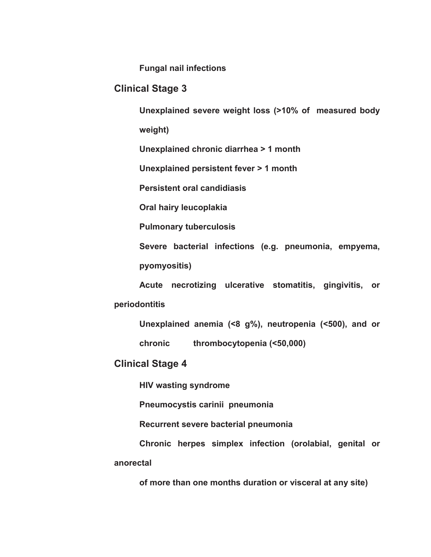**Fungal nail infections**

### **Clinical Stage 3**

**Unexplained severe weight loss (>10% of measured body**

**weight)**

**Unexplained chronic diarrhea > 1 month**

**Unexplained persistent fever > 1 month**

**Persistent oral candidiasis**

**Oral hairy leucoplakia**

**Pulmonary tuberculosis**

**Severe bacterial infections (e.g. pneumonia, empyema, pyomyositis)**

**Acute necrotizing ulcerative stomatitis, gingivitis, or periodontitis**

**Unexplained anemia (<8 g%), neutropenia (<500), and or chronic thrombocytopenia (<50,000)**

### **Clinical Stage 4**

**HIV wasting syndrome**

**Pneumocystis carinii pneumonia**

**Recurrent severe bacterial pneumonia**

**Chronic herpes simplex infection (orolabial, genital or anorectal**

**of more than one months duration or visceral at any site)**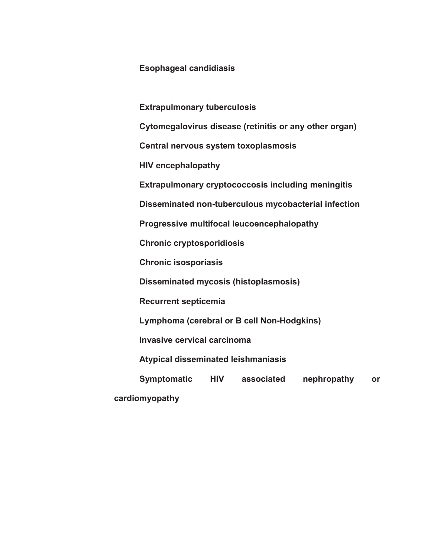### **Esophageal candidiasis**

**Extrapulmonary tuberculosis Cytomegalovirus disease (retinitis or any other organ) Central nervous system toxoplasmosis HIV encephalopathy Extrapulmonary cryptococcosis including meningitis Disseminated non-tuberculous mycobacterial infection Progressive multifocal leucoencephalopathy Chronic cryptosporidiosis Chronic isosporiasis Disseminated mycosis (histoplasmosis) Recurrent septicemia Lymphoma (cerebral or B cell Non-Hodgkins) Invasive cervical carcinoma Atypical disseminated leishmaniasis Symptomatic HIV associated nephropathy or cardiomyopathy**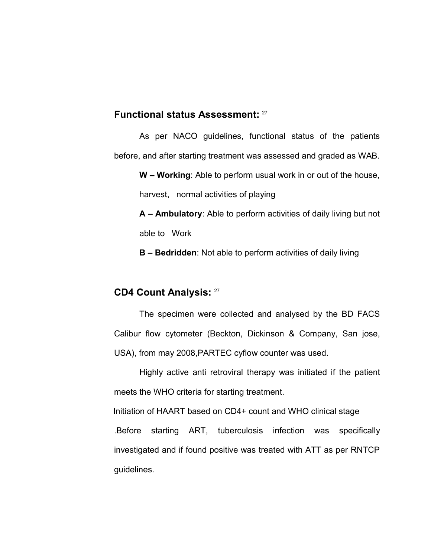### **Functional status Assessment:** <sup>27</sup>

As per NACO guidelines, functional status of the patients before, and after starting treatment was assessed and graded as WAB.

**W – Working**: Able to perform usual work in or out of the house, harvest, normal activities of playing

**A – Ambulatory**: Able to perform activities of daily living but not able to Work

**B – Bedridden**: Not able to perform activities of daily living

## **CD4 Count Analysis:**<sup>27</sup>

The specimen were collected and analysed by the BD FACS Calibur flow cytometer (Beckton, Dickinson & Company, San jose, USA), from may 2008,PARTEC cyflow counter was used.

Highly active anti retroviral therapy was initiated if the patient meets the WHO criteria for starting treatment.

Initiation of HAART based on CD4+ count and WHO clinical stage

.Before starting ART, tuberculosis infection was specifically investigated and if found positive was treated with ATT as per RNTCP guidelines.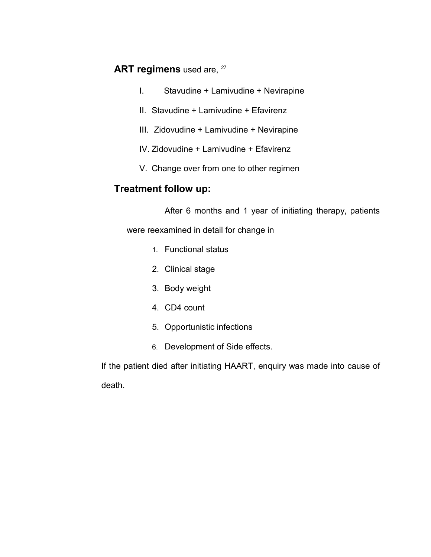## **ART regimens** used are, <sup>27</sup>

- I. Stavudine + Lamivudine + Nevirapine
- II. Stavudine + Lamivudine + Efavirenz
- III. Zidovudine + Lamivudine + Nevirapine
- IV. Zidovudine + Lamivudine + Efavirenz
- V. Change over from one to other regimen

## **Treatment follow up:**

After 6 months and 1 year of initiating therapy, patients

were reexamined in detail for change in

- 1. Functional status
- 2. Clinical stage
- 3. Body weight
- 4. CD4 count
- 5. Opportunistic infections
- 6. Development of Side effects.

If the patient died after initiating HAART, enquiry was made into cause of death.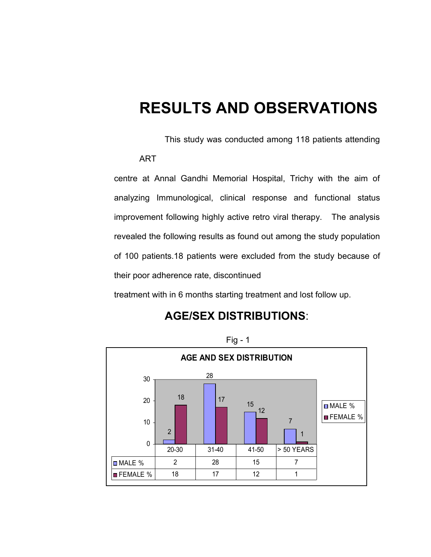## **RESULTS AND OBSERVATIONS**

This study was conducted among 118 patients attending

```
ART
```
centre at Annal Gandhi Memorial Hospital, Trichy with the aim of analyzing Immunological, clinical response and functional status improvement following highly active retro viral therapy. The analysis revealed the following results as found out among the study population of 100 patients.18 patients were excluded from the study because of their poor adherence rate, discontinued

treatment with in 6 months starting treatment and lost follow up.

## **AGE/SEX DISTRIBUTIONS**:



Fig - 1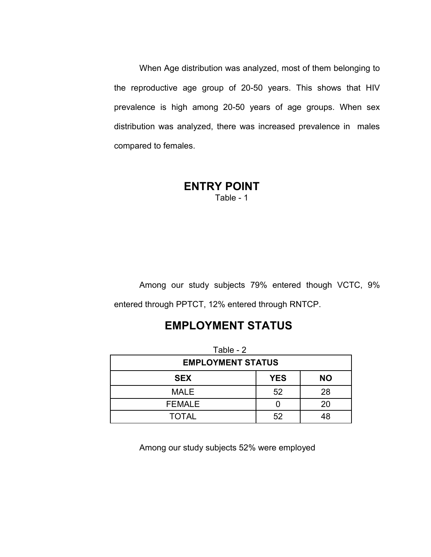When Age distribution was analyzed, most of them belonging to the reproductive age group of 20-50 years. This shows that HIV prevalence is high among 20-50 years of age groups. When sex distribution was analyzed, there was increased prevalence in males compared to females.

### **ENTRY POINT** Table - 1

Among our study subjects 79% entered though VCTC, 9% entered through PPTCT, 12% entered through RNTCP.

## **EMPLOYMENT STATUS**

| Table - 2                             |    |    |  |  |  |
|---------------------------------------|----|----|--|--|--|
| <b>EMPLOYMENT STATUS</b>              |    |    |  |  |  |
| <b>YES</b><br><b>NO</b><br><b>SEX</b> |    |    |  |  |  |
| 52<br>28<br><b>MALE</b>               |    |    |  |  |  |
| <b>FEMALE</b>                         |    | 20 |  |  |  |
| <b>TOTAL</b>                          | 52 | 48 |  |  |  |

Among our study subjects 52% were employed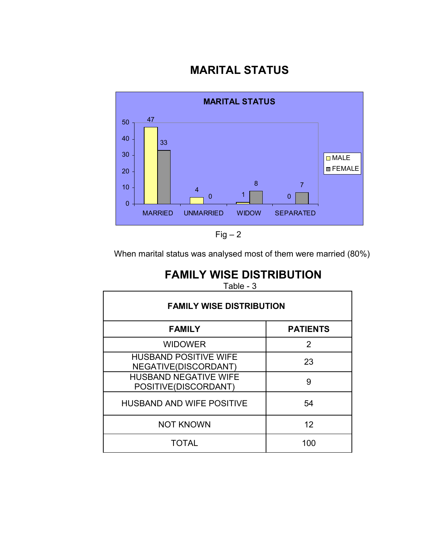## **MARITAL STATUS**



 $Fig - 2$ 

When marital status was analysed most of them were married (80%)

## **FAMILY WISE DISTRIBUTION**

Table - 3

| <b>FAMILY WISE DISTRIBUTION</b>                      |                 |  |  |
|------------------------------------------------------|-----------------|--|--|
| <b>FAMILY</b>                                        | <b>PATIENTS</b> |  |  |
| <b>WIDOWER</b>                                       | $\mathcal{P}$   |  |  |
| <b>HUSBAND POSITIVE WIFE</b><br>NEGATIVE(DISCORDANT) | 23              |  |  |
| <b>HUSBAND NEGATIVE WIFE</b><br>POSITIVE(DISCORDANT) | 9               |  |  |
| <b>HUSBAND AND WIFE POSITIVE</b>                     | 54              |  |  |
| <b>NOT KNOWN</b>                                     | 12              |  |  |
| <b>TOTAL</b>                                         | 100             |  |  |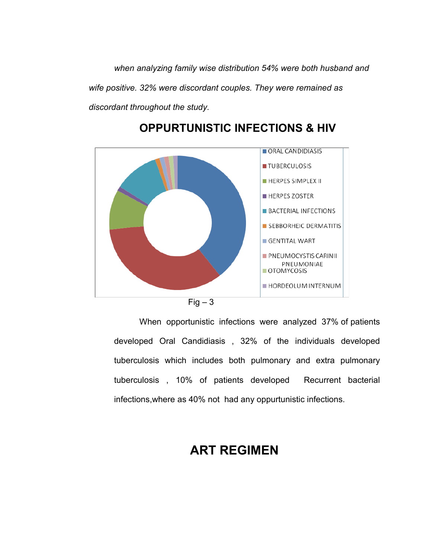*when analyzing family wise distribution 54% were both husband and wife positive. 32% were discordant couples. They were remained as discordant throughout the study.*



## **OPPURTUNISTIC INFECTIONS & HIV**



When opportunistic infections were analyzed 37% of patients developed Oral Candidiasis , 32% of the individuals developed tuberculosis which includes both pulmonary and extra pulmonary tuberculosis , 10% of patients developed Recurrent bacterial infections,where as 40% not had any oppurtunistic infections.

## **ART REGIMEN**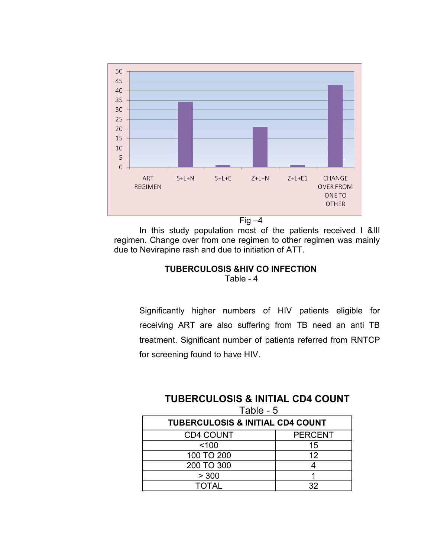

In this study population most of the patients received I &III regimen. Change over from one regimen to other regimen was mainly due to Nevirapine rash and due to initiation of ATT.

#### **TUBERCULOSIS &HIV CO INFECTION**  Table - 4

Significantly higher numbers of HIV patients eligible for receiving ART are also suffering from TB need an anti TB treatment. Significant number of patients referred from RNTCP for screening found to have HIV.

## **TUBERCULOSIS & INITIAL CD4 COUNT** Table - 5

| <b>TUBERCULOSIS &amp; INITIAL CD4 COUNT</b> |                |  |  |
|---------------------------------------------|----------------|--|--|
| <b>CD4 COUNT</b>                            | <b>PERCENT</b> |  |  |
| ~100                                        | 15             |  |  |
| 100 TO 200                                  | 12             |  |  |
| 200 TO 300                                  |                |  |  |
| > 300                                       |                |  |  |
| <b>TOTAL</b>                                | າາ             |  |  |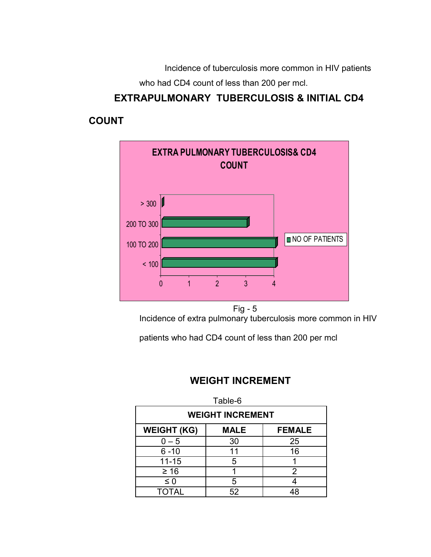Incidence of tuberculosis more common in HIV patients who had CD4 count of less than 200 per mcl.

## **EXTRAPULMONARY TUBERCULOSIS & INITIAL CD4**

## **COUNT**



Incidence of extra pulmonary tuberculosis more common in HIV

patients who had CD4 count of less than 200 per mcl

## **WEIGHT INCREMENT**

| Table-6                                            |    |    |  |  |  |
|----------------------------------------------------|----|----|--|--|--|
| <b>WEIGHT INCREMENT</b>                            |    |    |  |  |  |
| <b>WEIGHT (KG)</b><br><b>MALE</b><br><b>FEMALE</b> |    |    |  |  |  |
| $0-5$                                              | 30 | 25 |  |  |  |
| $6 - 10$                                           | 11 | 16 |  |  |  |
| $11 - 15$                                          | 5  |    |  |  |  |
| $\geq 16$                                          |    | 2  |  |  |  |
| $\leq 0$                                           | 5  |    |  |  |  |
| TOTAL                                              | 52 |    |  |  |  |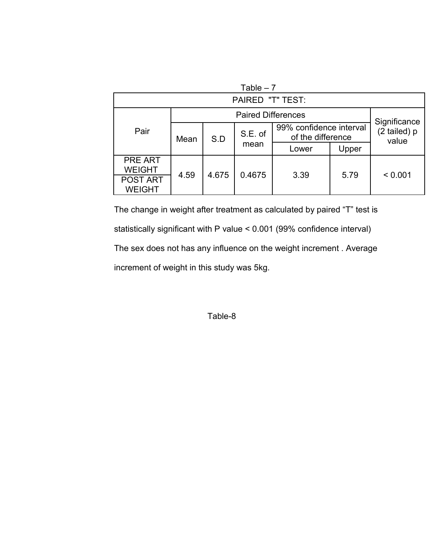| Table $-7$                       |                           |       |                                              |       |                                       |         |  |
|----------------------------------|---------------------------|-------|----------------------------------------------|-------|---------------------------------------|---------|--|
|                                  | <b>PAIRED "T" TEST:</b>   |       |                                              |       |                                       |         |  |
|                                  | <b>Paired Differences</b> |       |                                              |       |                                       |         |  |
| Pair                             | S.E. of<br>S.D<br>Mean    |       | 99% confidence interval<br>of the difference |       | Significance<br>(2 tailed) p<br>value |         |  |
|                                  |                           |       | mean                                         | Lower | Upper                                 |         |  |
| <b>PRE ART</b><br><b>WEIGHT</b>  |                           |       |                                              |       |                                       |         |  |
| <b>POST ART</b><br><b>WEIGHT</b> | 4.59                      | 4.675 | 0.4675                                       | 3.39  | 5.79                                  | < 0.001 |  |

The change in weight after treatment as calculated by paired "T" test is statistically significant with P value < 0.001 (99% confidence interval) The sex does not has any influence on the weight increment . Average increment of weight in this study was 5kg.

Table-8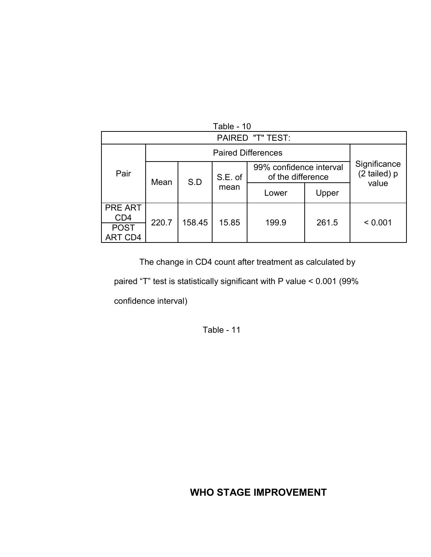| Table - 10                        |                         |                |       |                                              |       |                              |  |  |  |
|-----------------------------------|-------------------------|----------------|-------|----------------------------------------------|-------|------------------------------|--|--|--|
|                                   | <b>PAIRED "T" TEST:</b> |                |       |                                              |       |                              |  |  |  |
| Pair                              |                         |                |       |                                              |       |                              |  |  |  |
|                                   | Mean                    | S.E. of<br>S.D |       | 99% confidence interval<br>of the difference |       | Significance<br>(2 tailed) p |  |  |  |
|                                   |                         |                | mean  | Lower                                        | Upper | value                        |  |  |  |
| <b>PRE ART</b><br>CD <sub>4</sub> | 220.7                   | 158.45         |       |                                              | 261.5 |                              |  |  |  |
| <b>POST</b><br>ART CD4            |                         |                | 15.85 | 199.9                                        |       | < 0.001                      |  |  |  |

The change in CD4 count after treatment as calculated by

paired "T" test is statistically significant with P value < 0.001 (99%

confidence interval)

Table - 11

## **WHO STAGE IMPROVEMENT**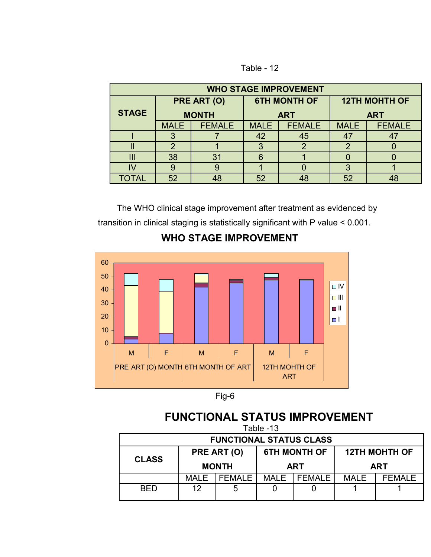Table - 12

| <b>WHO STAGE IMPROVEMENT</b> |              |               |             |                     |             |                      |  |  |
|------------------------------|--------------|---------------|-------------|---------------------|-------------|----------------------|--|--|
|                              | PRE ART (O)  |               |             | <b>6TH MONTH OF</b> |             | <b>12TH MOHTH OF</b> |  |  |
| <b>STAGE</b>                 | <b>MONTH</b> |               | <b>ART</b>  |                     | <b>ART</b>  |                      |  |  |
|                              | <b>MALE</b>  | <b>FEMALE</b> | <b>MALE</b> | <b>FEMALE</b>       | <b>MALE</b> | <b>FEMALE</b>        |  |  |
|                              |              |               | 42          | 45                  |             | 4 <sub>1</sub>       |  |  |
|                              | 2            |               | 3           |                     | っ           |                      |  |  |
| Ш                            | 38           | 31            | 6           |                     |             |                      |  |  |
|                              |              |               |             |                     |             |                      |  |  |
| <b>TOTAL</b>                 | 52           | 48            | 52          |                     | 52          |                      |  |  |

The WHO clinical stage improvement after treatment as evidenced by transition in clinical staging is statistically significant with P value < 0.001.

## **WHO STAGE IMPROVEMENT**





## **FUNCTIONAL STATUS IMPROVEMENT**

| Table -13                                                                                                              |      |               |      |        |             |               |  |
|------------------------------------------------------------------------------------------------------------------------|------|---------------|------|--------|-------------|---------------|--|
| <b>FUNCTIONAL STATUS CLASS</b>                                                                                         |      |               |      |        |             |               |  |
| <b>6TH MONTH OF</b><br><b>12TH MOHTH OF</b><br>PRE ART (O)<br><b>CLASS</b><br><b>MONTH</b><br><b>ART</b><br><b>ART</b> |      |               |      |        |             |               |  |
|                                                                                                                        | MALE | <b>FEMALE</b> | MALE | FFMALF | <b>MALE</b> | <b>FEMALE</b> |  |
| <b>BED</b>                                                                                                             | 12   | 5             |      |        |             |               |  |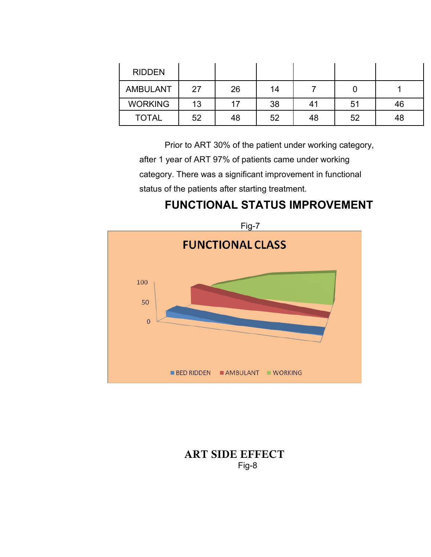| <b>RIDDEN</b>   |    |    |    |    |    |    |
|-----------------|----|----|----|----|----|----|
| <b>AMBULANT</b> | 27 | 26 | 14 |    |    |    |
| <b>WORKING</b>  | 13 |    | 38 | 41 | 51 | 46 |
| <b>TOTAL</b>    | 52 | 48 | 52 | 48 | 52 | 48 |

Prior to ART 30% of the patient under working category, after 1 year of ART 97% of patients came under working

category. There was a significant improvement in functional

status of the patients after starting treatment.

# **FUNCTIONAL STATUS IMPROVEMENT**



## **ART SIDE EFFECT** Fig-8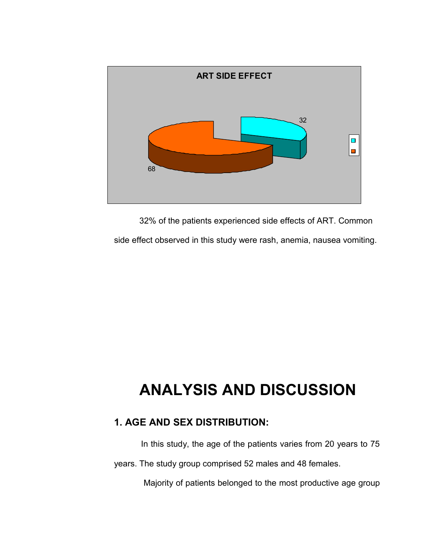

32% of the patients experienced side effects of ART. Common side effect observed in this study were rash, anemia, nausea vomiting.

# **ANALYSIS AND DISCUSSION**

## **1. AGE AND SEX DISTRIBUTION:**

In this study, the age of the patients varies from 20 years to 75

years. The study group comprised 52 males and 48 females.

Majority of patients belonged to the most productive age group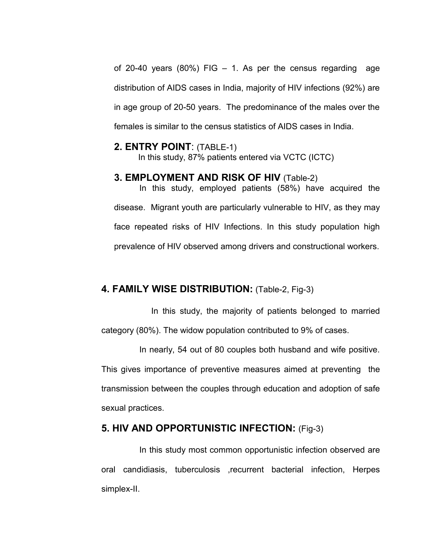of 20-40 years  $(80\%)$  FIG  $-$  1. As per the census regarding age distribution of AIDS cases in India, majority of HIV infections (92%) are in age group of 20-50 years. The predominance of the males over the females is similar to the census statistics of AIDS cases in India.

### **2. ENTRY POINT**: (TABLE-1)

In this study, 87% patients entered via VCTC (ICTC)

## **3. EMPLOYMENT AND RISK OF HIV** (Table-2)

In this study, employed patients (58%) have acquired the disease. Migrant youth are particularly vulnerable to HIV, as they may face repeated risks of HIV Infections. In this study population high prevalence of HIV observed among drivers and constructional workers.

### **4. FAMILY WISE DISTRIBUTION:** (Table-2, Fig-3)

In this study, the majority of patients belonged to married category (80%). The widow population contributed to 9% of cases.

In nearly, 54 out of 80 couples both husband and wife positive. This gives importance of preventive measures aimed at preventing the transmission between the couples through education and adoption of safe sexual practices.

## **5. HIV AND OPPORTUNISTIC INFECTION:** (Fig-3)

In this study most common opportunistic infection observed are oral candidiasis, tuberculosis ,recurrent bacterial infection, Herpes simplex-II.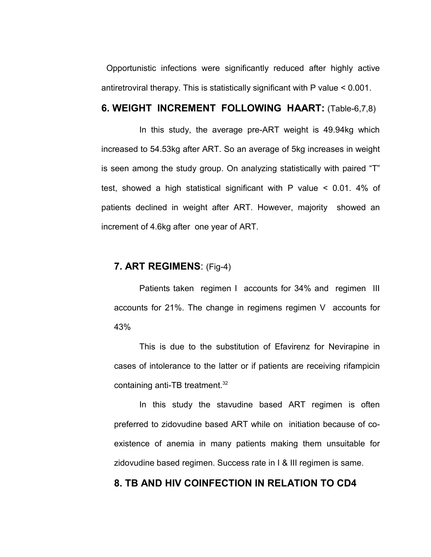Opportunistic infections were significantly reduced after highly active antiretroviral therapy. This is statistically significant with P value < 0.001.

## **6. WEIGHT INCREMENT FOLLOWING HAART:** (Table-6,7,8)

In this study, the average pre-ART weight is 49.94kg which increased to 54.53kg after ART. So an average of 5kg increases in weight is seen among the study group. On analyzing statistically with paired "T" test, showed a high statistical significant with P value < 0.01. 4% of patients declined in weight after ART. However, majority showed an increment of 4.6kg after one year of ART.

### **7. ART REGIMENS**: (Fig-4)

Patients taken regimen I accounts for 34% and regimen III accounts for 21%. The change in regimens regimen V accounts for 43%

This is due to the substitution of Efavirenz for Nevirapine in cases of intolerance to the latter or if patients are receiving rifampicin containing anti-TB treatment.<sup>32</sup>

In this study the stavudine based ART regimen is often preferred to zidovudine based ART while on initiation because of coexistence of anemia in many patients making them unsuitable for zidovudine based regimen. Success rate in I & III regimen is same.

### **8. TB AND HIV COINFECTION IN RELATION TO CD4**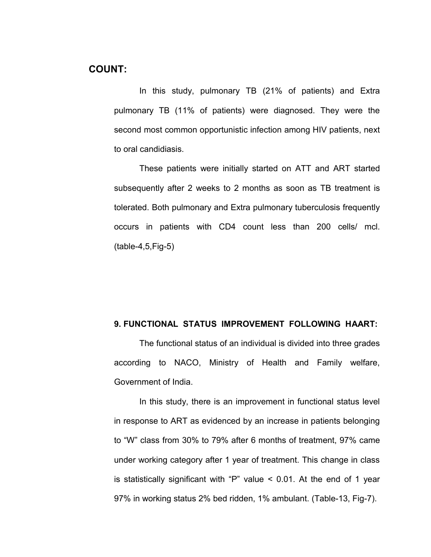In this study, pulmonary TB (21% of patients) and Extra pulmonary TB (11% of patients) were diagnosed. They were the second most common opportunistic infection among HIV patients, next to oral candidiasis.

These patients were initially started on ATT and ART started subsequently after 2 weeks to 2 months as soon as TB treatment is tolerated. Both pulmonary and Extra pulmonary tuberculosis frequently occurs in patients with CD4 count less than 200 cells/ mcl. (table-4,5,Fig-5)

### **9. FUNCTIONAL STATUS IMPROVEMENT FOLLOWING HAART:**

The functional status of an individual is divided into three grades according to NACO, Ministry of Health and Family welfare, Government of India.

In this study, there is an improvement in functional status level in response to ART as evidenced by an increase in patients belonging to "W" class from 30% to 79% after 6 months of treatment, 97% came under working category after 1 year of treatment. This change in class is statistically significant with "P" value < 0.01. At the end of 1 year 97% in working status 2% bed ridden, 1% ambulant. (Table-13, Fig-7).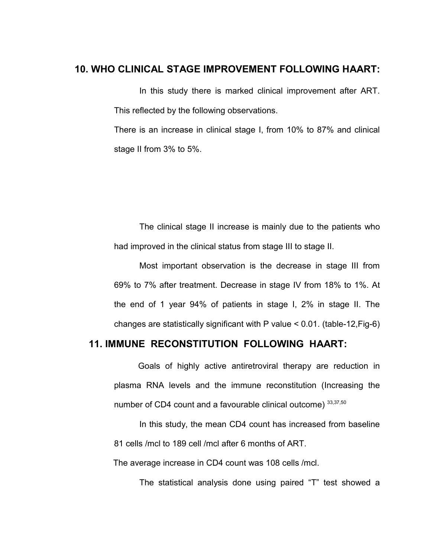### **10. WHO CLINICAL STAGE IMPROVEMENT FOLLOWING HAART:**

In this study there is marked clinical improvement after ART. This reflected by the following observations.

There is an increase in clinical stage I, from 10% to 87% and clinical stage II from 3% to 5%.

The clinical stage II increase is mainly due to the patients who had improved in the clinical status from stage III to stage II.

Most important observation is the decrease in stage III from 69% to 7% after treatment. Decrease in stage IV from 18% to 1%. At the end of 1 year 94% of patients in stage I, 2% in stage II. The changes are statistically significant with P value < 0.01. (table-12,Fig-6)

## **11. IMMUNE RECONSTITUTION FOLLOWING HAART:**

 Goals of highly active antiretroviral therapy are reduction in plasma RNA levels and the immune reconstitution (Increasing the number of CD4 count and a favourable clinical outcome) 33,37,50

In this study, the mean CD4 count has increased from baseline 81 cells /mcl to 189 cell /mcl after 6 months of ART.

The average increase in CD4 count was 108 cells /mcl.

The statistical analysis done using paired "T" test showed a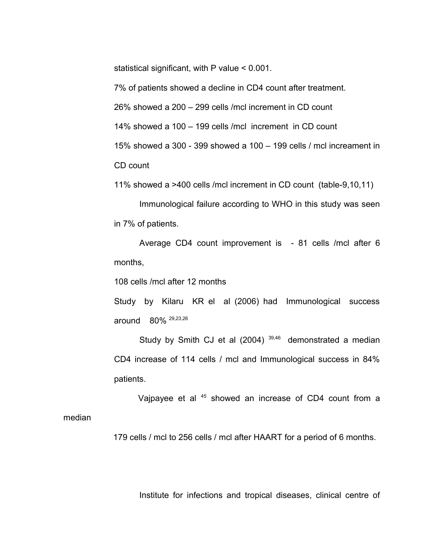statistical significant, with P value < 0.001.

7% of patients showed a decline in CD4 count after treatment.

26% showed a 200 – 299 cells /mcl increment in CD count

14% showed a 100 – 199 cells /mcl increment in CD count

15% showed a 300 - 399 showed a 100 – 199 cells / mcl increament in

CD count

11% showed a >400 cells /mcl increment in CD count (table-9,10,11)

Immunological failure according to WHO in this study was seen in 7% of patients.

Average CD4 count improvement is - 81 cells /mcl after 6 months,

108 cells /mcl after 12 months

Study by Kilaru KR el al (2006) had Immunological success around 80% 29,23,26

Study by Smith CJ et al  $(2004)$   $39,46$  demonstrated a median CD4 increase of 114 cells / mcl and Immunological success in 84% patients.

Vajpayee et al <sup>45</sup> showed an increase of CD4 count from a median

179 cells / mcl to 256 cells / mcl after HAART for a period of 6 months.

Institute for infections and tropical diseases, clinical centre of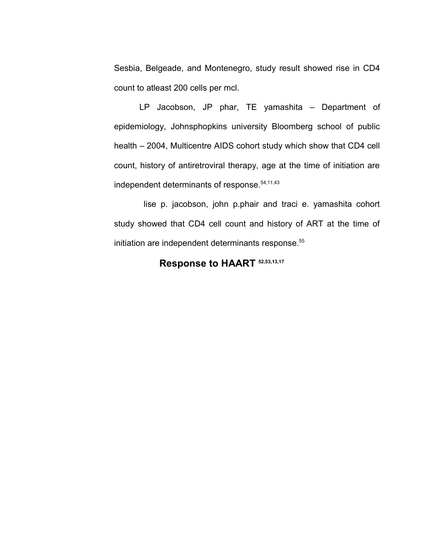Sesbia, Belgeade, and Montenegro, study result showed rise in CD4 count to atleast 200 cells per mcl.

LP Jacobson, JP phar, TE yamashita – Department of epidemiology, Johnsphopkins university Bloomberg school of public health – 2004, Multicentre AIDS cohort study which show that CD4 cell count, history of antiretroviral therapy, age at the time of initiation are independent determinants of response.<sup>54,11,43</sup>

lise p. jacobson, john p.phair and traci e. yamashita cohort study showed that CD4 cell count and history of ART at the time of initiation are independent determinants response.<sup>55</sup>

## **Response to HAART 52,53,13,17**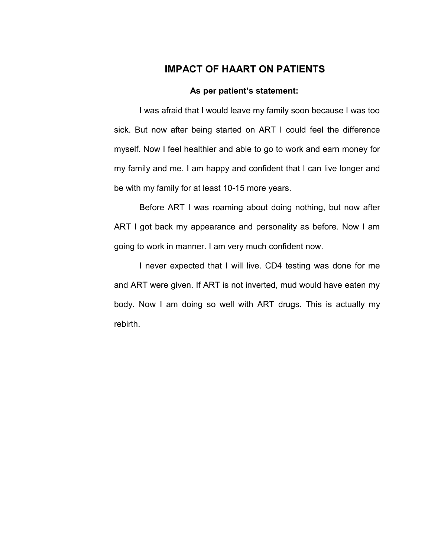## **IMPACT OF HAART ON PATIENTS**

#### **As per patient's statement:**

I was afraid that I would leave my family soon because I was too sick. But now after being started on ART I could feel the difference myself. Now I feel healthier and able to go to work and earn money for my family and me. I am happy and confident that I can live longer and be with my family for at least 10-15 more years.

Before ART I was roaming about doing nothing, but now after ART I got back my appearance and personality as before. Now I am going to work in manner. I am very much confident now.

I never expected that I will live. CD4 testing was done for me and ART were given. If ART is not inverted, mud would have eaten my body. Now I am doing so well with ART drugs. This is actually my rebirth.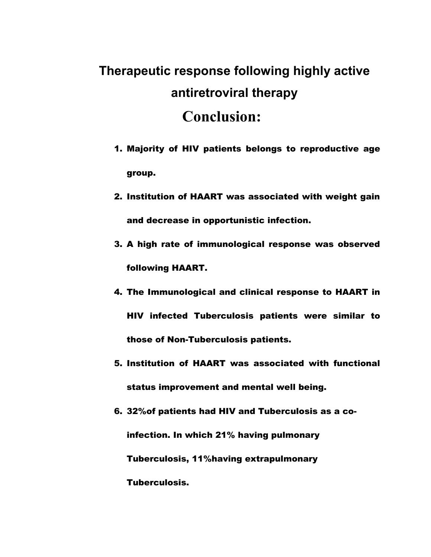# **Therapeutic response following highly active antiretroviral therapy Conclusion:**

- 1. Majority of HIV patients belongs to reproductive age group.
- 2. Institution of HAART was associated with weight gain and decrease in opportunistic infection.
- 3. A high rate of immunological response was observed following HAART.
- 4. The Immunological and clinical response to HAART in HIV infected Tuberculosis patients were similar to those of Non-Tuberculosis patients.
- 5. Institution of HAART was associated with functional status improvement and mental well being.
- 6. 32%of patients had HIV and Tuberculosis as a coinfection. In which 21% having pulmonary Tuberculosis, 11%having extrapulmonary Tuberculosis.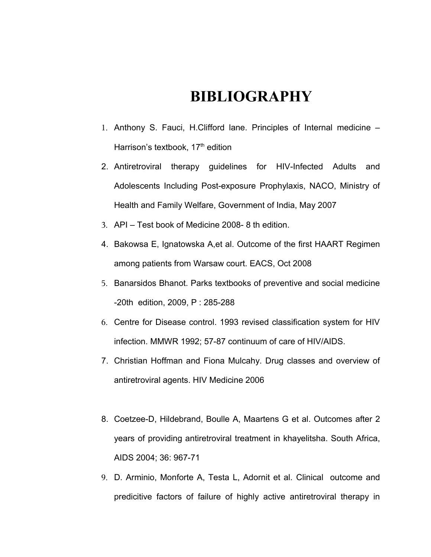## **BIBLIOGRAPHY**

- 1. Anthony S. Fauci, H.Clifford lane. Principles of Internal medicine Harrison's textbook, 17<sup>th</sup> edition
- 2. Antiretroviral therapy guidelines for HIV-Infected Adults and Adolescents Including Post-exposure Prophylaxis, NACO, Ministry of Health and Family Welfare, Government of India, May 2007
- 3. API Test book of Medicine 2008- 8 th edition.
- 4. Bakowsa E, Ignatowska A,et al. Outcome of the first HAART Regimen among patients from Warsaw court. EACS, Oct 2008
- 5. Banarsidos Bhanot. Parks textbooks of preventive and social medicine -20th edition, 2009, P : 285-288
- 6. Centre for Disease control. 1993 revised classification system for HIV infection. MMWR 1992; 57-87 continuum of care of HIV/AIDS.
- 7. Christian Hoffman and Fiona Mulcahy. Drug classes and overview of antiretroviral agents. HIV Medicine 2006
- 8. Coetzee-D, Hildebrand, Boulle A, Maartens G et al. Outcomes after 2 years of providing antiretroviral treatment in khayelitsha. South Africa, AIDS 2004; 36: 967-71
- 9. D. Arminio, Monforte A, Testa L, Adornit et al. Clinical outcome and predicitive factors of failure of highly active antiretroviral therapy in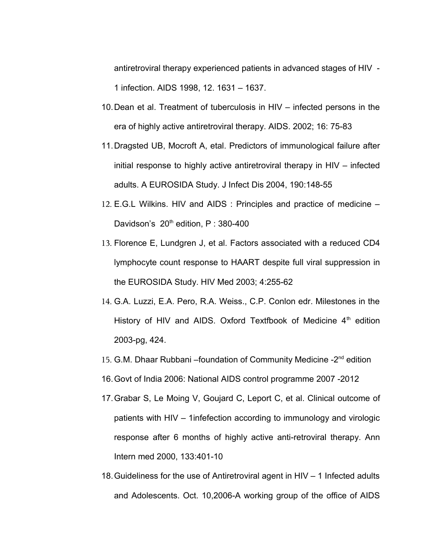antiretroviral therapy experienced patients in advanced stages of HIV - 1 infection. AIDS 1998, 12. 1631 – 1637.

- 10.Dean et al. Treatment of tuberculosis in HIV infected persons in the era of highly active antiretroviral therapy. AIDS. 2002; 16: 75-83
- 11.Dragsted UB, Mocroft A, etal. Predictors of immunological failure after initial response to highly active antiretroviral therapy in HIV – infected adults. A EUROSIDA Study. J Infect Dis 2004, 190:148-55
- 12. E.G.L Wilkins. HIV and AIDS : Principles and practice of medicine Davidson's  $20<sup>th</sup>$  edition, P : 380-400
- 13. Florence E, Lundgren J, et al. Factors associated with a reduced CD4 lymphocyte count response to HAART despite full viral suppression in the EUROSIDA Study. HIV Med 2003; 4:255-62
- 14. G.A. Luzzi, E.A. Pero, R.A. Weiss., C.P. Conlon edr. Milestones in the History of HIV and AIDS. Oxford Textfbook of Medicine  $4<sup>th</sup>$  edition 2003-pg, 424.
- 15. G.M. Dhaar Rubbani –foundation of Community Medicine -2<sup>nd</sup> edition
- 16.Govt of India 2006: National AIDS control programme 2007 -2012
- 17.Grabar S, Le Moing V, Goujard C, Leport C, et al. Clinical outcome of patients with HIV – 1infefection according to immunology and virologic response after 6 months of highly active anti-retroviral therapy. Ann Intern med 2000, 133:401-10
- 18.Guideliness for the use of Antiretroviral agent in HIV 1 Infected adults and Adolescents. Oct. 10,2006-A working group of the office of AIDS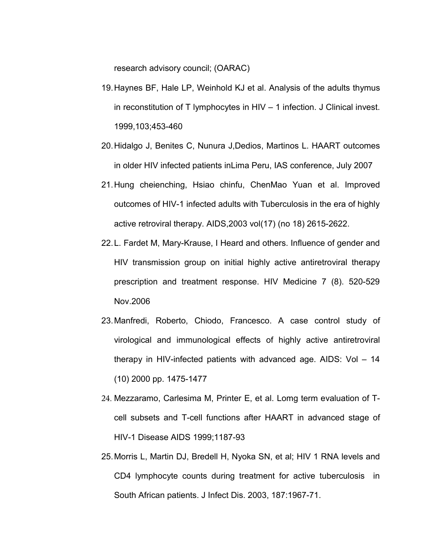research advisory council; (OARAC)

- 19.Haynes BF, Hale LP, Weinhold KJ et al. Analysis of the adults thymus in reconstitution of T lymphocytes in HIV – 1 infection. J Clinical invest. 1999,103;453-460
- 20.Hidalgo J, Benites C, Nunura J,Dedios, Martinos L. HAART outcomes in older HIV infected patients inLima Peru, IAS conference, July 2007
- 21.Hung cheienching, Hsiao chinfu, ChenMao Yuan et al. Improved outcomes of HIV-1 infected adults with Tuberculosis in the era of highly active retroviral therapy. AIDS,2003 vol(17) (no 18) 2615-2622.
- 22.L. Fardet M, Mary-Krause, I Heard and others. Influence of gender and HIV transmission group on initial highly active antiretroviral therapy prescription and treatment response. HIV Medicine 7 (8). 520-529 Nov.2006
- 23.Manfredi, Roberto, Chiodo, Francesco. A case control study of virological and immunological effects of highly active antiretroviral therapy in HIV-infected patients with advanced age. AIDS: Vol – 14 (10) 2000 pp. 1475-1477
- 24. Mezzaramo, Carlesima M, Printer E, et al. Lomg term evaluation of Tcell subsets and T-cell functions after HAART in advanced stage of HIV-1 Disease AIDS 1999;1187-93
- 25.Morris L, Martin DJ, Bredell H, Nyoka SN, et al; HIV 1 RNA levels and CD4 lymphocyte counts during treatment for active tuberculosis in South African patients. J Infect Dis. 2003, 187:1967-71.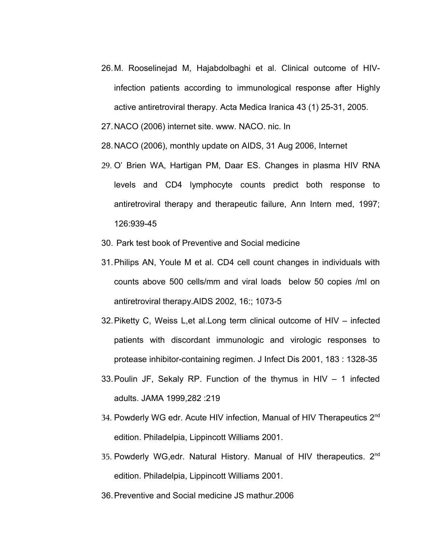- 26.M. Rooselinejad M, Hajabdolbaghi et al. Clinical outcome of HIVinfection patients according to immunological response after Highly active antiretroviral therapy. Acta Medica Iranica 43 (1) 25-31, 2005.
- 27.NACO (2006) internet site. www. NACO. nic. In
- 28.NACO (2006), monthly update on AIDS, 31 Aug 2006, Internet
- 29. O' Brien WA, Hartigan PM, Daar ES. Changes in plasma HIV RNA levels and CD4 lymphocyte counts predict both response to antiretroviral therapy and therapeutic failure, Ann Intern med, 1997; 126:939-45
- 30. Park test book of Preventive and Social medicine
- 31.Philips AN, Youle M et al. CD4 cell count changes in individuals with counts above 500 cells/mm and viral loads below 50 copies /ml on antiretroviral therapy.AIDS 2002, 16:; 1073-5
- 32.Piketty C, Weiss L,et al.Long term clinical outcome of HIV infected patients with discordant immunologic and virologic responses to protease inhibitor-containing regimen. J Infect Dis 2001, 183 : 1328-35
- 33.Poulin JF, Sekaly RP. Function of the thymus in HIV 1 infected adults. JAMA 1999,282 :219
- 34. Powderly WG edr. Acute HIV infection, Manual of HIV Therapeutics 2<sup>nd</sup> edition. Philadelpia, Lippincott Williams 2001.
- 35. Powderly WG, edr. Natural History. Manual of HIV therapeutics. 2<sup>nd</sup> edition. Philadelpia, Lippincott Williams 2001.
- 36.Preventive and Social medicine JS mathur.2006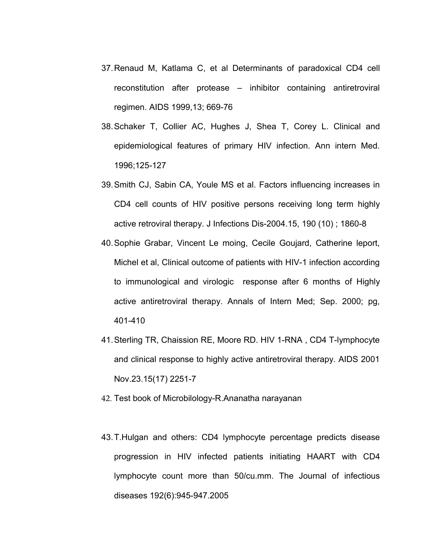- 37.Renaud M, Katlama C, et al Determinants of paradoxical CD4 cell reconstitution after protease – inhibitor containing antiretroviral regimen. AIDS 1999,13; 669-76
- 38.Schaker T, Collier AC, Hughes J, Shea T, Corey L. Clinical and epidemiological features of primary HIV infection. Ann intern Med. 1996;125-127
- 39.Smith CJ, Sabin CA, Youle MS et al. Factors influencing increases in CD4 cell counts of HIV positive persons receiving long term highly active retroviral therapy. J Infections Dis-2004.15, 190 (10) ; 1860-8
- 40.Sophie Grabar, Vincent Le moing, Cecile Goujard, Catherine leport, Michel et al, Clinical outcome of patients with HIV-1 infection according to immunological and virologic response after 6 months of Highly active antiretroviral therapy. Annals of Intern Med; Sep. 2000; pg, 401-410
- 41.Sterling TR, Chaission RE, Moore RD. HIV 1-RNA , CD4 T-lymphocyte and clinical response to highly active antiretroviral therapy. AIDS 2001 Nov.23.15(17) 2251-7
- 42. Test book of Microbilology-R.Ananatha narayanan
- 43.T.Hulgan and others: CD4 lymphocyte percentage predicts disease progression in HIV infected patients initiating HAART with CD4 lymphocyte count more than 50/cu.mm. The Journal of infectious diseases 192(6):945-947.2005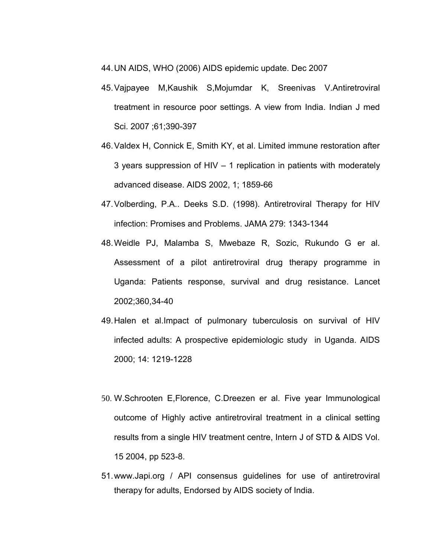44.UN AIDS, WHO (2006) AIDS epidemic update. Dec 2007

- 45.Vajpayee M,Kaushik S,Mojumdar K, Sreenivas V.Antiretroviral treatment in resource poor settings. A view from India. Indian J med Sci. 2007 ;61;390-397
- 46.Valdex H, Connick E, Smith KY, et al. Limited immune restoration after 3 years suppression of HIV – 1 replication in patients with moderately advanced disease. AIDS 2002, 1; 1859-66
- 47.Volberding, P.A.. Deeks S.D. (1998). Antiretroviral Therapy for HIV infection: Promises and Problems. JAMA 279: 1343-1344
- 48.Weidle PJ, Malamba S, Mwebaze R, Sozic, Rukundo G er al. Assessment of a pilot antiretroviral drug therapy programme in Uganda: Patients response, survival and drug resistance. Lancet 2002;360,34-40
- 49.Halen et al.Impact of pulmonary tuberculosis on survival of HIV infected adults: A prospective epidemiologic study in Uganda. AIDS 2000; 14: 1219-1228
- 50. W.Schrooten E,Florence, C.Dreezen er al. Five year Immunological outcome of Highly active antiretroviral treatment in a clinical setting results from a single HIV treatment centre, Intern J of STD & AIDS Vol. 15 2004, pp 523-8.
- 51.www.Japi.org / API consensus guidelines for use of antiretroviral therapy for adults, Endorsed by AIDS society of India.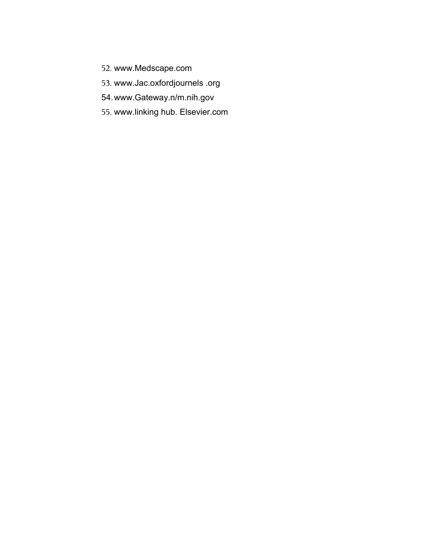- 52. [www.Medscape.com](http://www.Medscape.com/)
- 53. [www.Jac.oxfordj](http://www.Jac.oxford/)ournels .org
- 54.www.Gateway.n/m.nih.gov
- 55. [www.linking](http://www.linking/) hub. Elsevier.com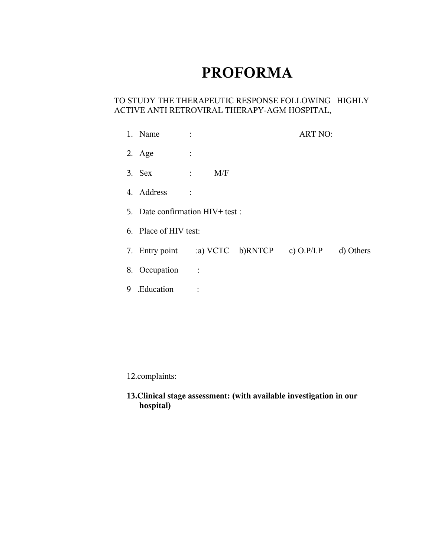## **PROFORMA**

### TO STUDY THE THERAPEUTIC RESPONSE FOLLOWING HIGHLY ACTIVE ANTI RETROVIRAL THERAPY-AGM HOSPITAL,

|   | 1. Name                                   |                |     |  | <b>ART NO:</b> |           |
|---|-------------------------------------------|----------------|-----|--|----------------|-----------|
|   | 2. Age                                    | $\ddot{\cdot}$ |     |  |                |           |
|   | $3.$ Sex<br>$\sim 10^{11}$ M $_{\odot}$   |                | M/F |  |                |           |
|   | 4. Address                                | $\ddot{\cdot}$ |     |  |                |           |
|   | 5. Date confirmation HIV+ test :          |                |     |  |                |           |
|   | 6. Place of HIV test:                     |                |     |  |                |           |
|   | 7. Entry point a) VCTC b)RNTCP c) O.P/I.P |                |     |  |                | d) Others |
|   | 8. Occupation                             |                |     |  |                |           |
| 9 | .Education                                |                |     |  |                |           |

12.complaints:

**13.Clinical stage assessment: (with available investigation in our hospital)**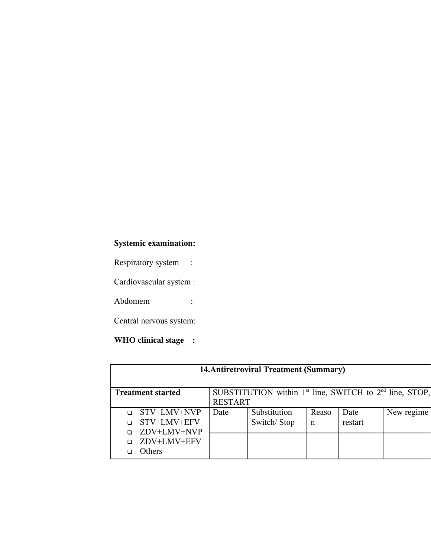## **Systemic examination:**

Respiratory system :

Cardiovascular system :

Abdomem :

Central nervous system:

## **WHO clinical stage :**

| 14. Antiretroviral Treatment (Summary)                                                  |               |                |              |       |         |            |  |  |
|-----------------------------------------------------------------------------------------|---------------|----------------|--------------|-------|---------|------------|--|--|
| SUBSTITUTION within $1st$ line, SWITCH to $2nd$ line, STOP,<br><b>Treatment started</b> |               |                |              |       |         |            |  |  |
|                                                                                         |               | <b>RESTART</b> |              |       |         |            |  |  |
| $\Box$                                                                                  | STV+LMV+NVP   | Date           | Substitution | Reaso | Date    | New regime |  |  |
|                                                                                         | STV+LMV+EFV   |                | Switch/Stop  | n     | restart |            |  |  |
|                                                                                         | ZDV+LMV+NVP   |                |              |       |         |            |  |  |
|                                                                                         | □ ZDV+LMV+EFV |                |              |       |         |            |  |  |
|                                                                                         | <b>Others</b> |                |              |       |         |            |  |  |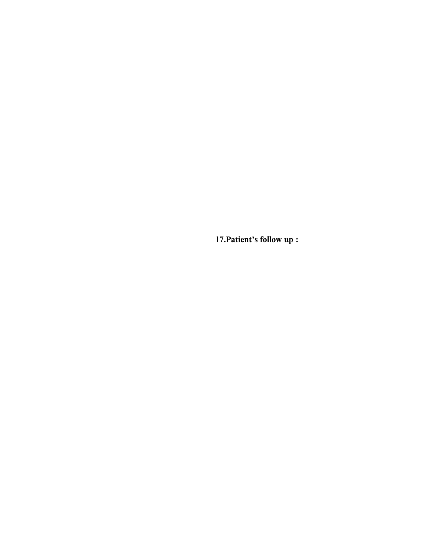**17.Patient's follow up :**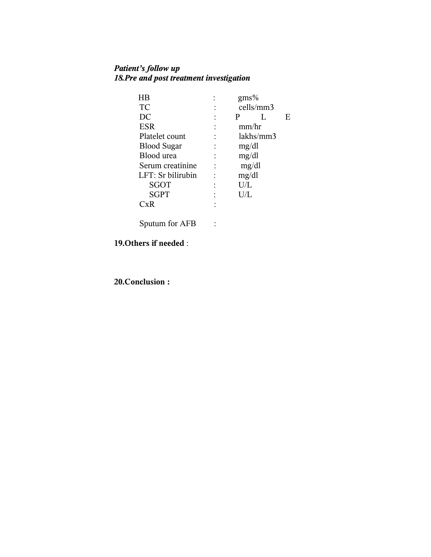### *Patient's follow up 18.Pre and post treatment investigation*

| ΗB                 | gms%      |   |
|--------------------|-----------|---|
| TC                 | cells/mm3 |   |
| DC                 | P         | E |
| <b>ESR</b>         | mm/hr     |   |
| Platelet count     | lakhs/mm3 |   |
| <b>Blood Sugar</b> | mg/dl     |   |
| Blood urea         | mg/dl     |   |
| Serum creatinine   | mg/dl     |   |
| LFT: Sr bilirubin  | mg/dl     |   |
| <b>SGOT</b>        | U/L       |   |
| <b>SGPT</b>        | $\rm U/L$ |   |
| хR                 |           |   |
|                    |           |   |

Sputum for AFB :

## **19.Others if needed** :

**20.Conclusion :**